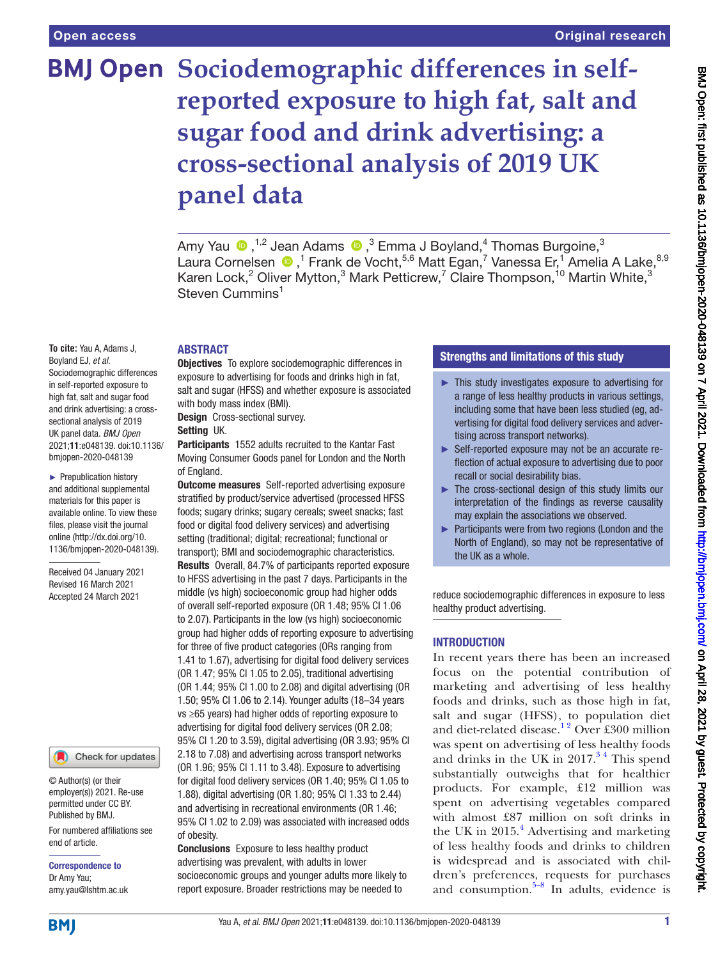**To cite:** Yau A, Adams J, Boyland EJ, *et al*.

Sociodemographic differences in self-reported exposure to high fat, salt and sugar food and drink advertising: a crosssectional analysis of 2019 UK panel data. *BMJ Open* 2021;11:e048139. doi:10.1136/ bmjopen-2020-048139 ► Prepublication history and additional supplemental materials for this paper is available online. To view these files, please visit the journal online [\(http://dx.doi.org/10.](http://dx.doi.org/10.1136/bmjopen-2020-048139) [1136/bmjopen-2020-048139\)](http://dx.doi.org/10.1136/bmjopen-2020-048139).

Received 04 January 2021 Revised 16 March 2021 Accepted 24 March 2021

# **BMJ Open** Sociodemographic differences in self**reported exposure to high fat, salt and sugar food and drink advertising: a cross-sectional analysis of 2019 UK panel data**

AmyYau  $\bigcirc$ , <sup>1,2</sup> Jean Adams  $\bigcirc$  ,<sup>3</sup> Emma J Boyland,<sup>4</sup> Thomas Burgoine,<sup>3</sup> Laura Cornelsen  $\bigcirc$ ,<sup>1</sup> Frank de Vocht,<sup>5,6</sup> Matt Egan,<sup>7</sup> Vanessa Er,<sup>1</sup> Amelia A Lake,<sup>8,9</sup> Karen Lock,<sup>2</sup> Oliver Mytton,<sup>3</sup> Mark Petticrew,<sup>7</sup> Claire Thompson,<sup>10</sup> Martin White,<sup>3</sup> Steven Cummins<sup>1</sup>

#### ABSTRACT

Objectives To explore sociodemographic differences in exposure to advertising for foods and drinks high in fat, salt and sugar (HFSS) and whether exposure is associated with body mass index (BMI).

Design Cross-sectional survey.

#### Setting UK.

Participants 1552 adults recruited to the Kantar Fast Moving Consumer Goods panel for London and the North of England.

**Outcome measures** Self-reported advertising exposure stratified by product/service advertised (processed HFSS foods; sugary drinks; sugary cereals; sweet snacks; fast food or digital food delivery services) and advertising setting (traditional; digital; recreational; functional or transport); BMI and sociodemographic characteristics. Results Overall, 84.7% of participants reported exposure

to HFSS advertising in the past 7 days. Participants in the middle (vs high) socioeconomic group had higher odds of overall self-reported exposure (OR 1.48; 95% CI 1.06 to 2.07). Participants in the low (vs high) socioeconomic group had higher odds of reporting exposure to advertising for three of five product categories (ORs ranging from 1.41 to 1.67), advertising for digital food delivery services (OR 1.47; 95% CI 1.05 to 2.05), traditional advertising (OR 1.44; 95% CI 1.00 to 2.08) and digital advertising (OR 1.50; 95% CI 1.06 to 2.14). Younger adults (18–34 years vs ≥65 years) had higher odds of reporting exposure to advertising for digital food delivery services (OR 2.08; 95% CI 1.20 to 3.59), digital advertising (OR 3.93; 95% CI 2.18 to 7.08) and advertising across transport networks (OR 1.96; 95% CI 1.11 to 3.48). Exposure to advertising for digital food delivery services (OR 1.40; 95% CI 1.05 to 1.88), digital advertising (OR 1.80; 95% CI 1.33 to 2.44) and advertising in recreational environments (OR 1.46; 95% CI 1.02 to 2.09) was associated with increased odds of obesity.

Conclusions Exposure to less healthy product advertising was prevalent, with adults in lower socioeconomic groups and younger adults more likely to report exposure. Broader restrictions may be needed to

#### Strengths and limitations of this study

- ► This study investigates exposure to advertising for a range of less healthy products in various settings, including some that have been less studied (eg, advertising for digital food delivery services and advertising across transport networks).
- ► Self-reported exposure may not be an accurate reflection of actual exposure to advertising due to poor recall or social desirability bias.
- ► The cross-sectional design of this study limits our interpretation of the findings as reverse causality may explain the associations we observed.
- ► Participants were from two regions (London and the North of England), so may not be representative of the UK as a whole.

reduce sociodemographic differences in exposure to less healthy product advertising.

#### INTRODUCTION

In recent years there has been an increased focus on the potential contribution of marketing and advertising of less healthy foods and drinks, such as those high in fat, salt and sugar (HFSS), to population diet and diet-related disease.<sup>12</sup> Over £300 million was spent on advertising of less healthy foods and drinks in the UK in  $2017<sup>34</sup>$  This spend substantially outweighs that for healthier products. For example, £12 million was spent on advertising vegetables compared with almost £87 million on soft drinks in the UK in  $2015.<sup>4</sup>$  $2015.<sup>4</sup>$  $2015.<sup>4</sup>$  Advertising and marketing of less healthy foods and drinks to children is widespread and is associated with children's preferences, requests for purchases and consumption. $5-8$  In adults, evidence is

**BMI** 

end of article.

Correspondence to Dr Amy Yau; amy.yau@lshtm.ac.uk

© Author(s) (or their employer(s)) 2021. Re-use permitted under CC BY. Published by BMJ.

For numbered affiliations see

Check for updates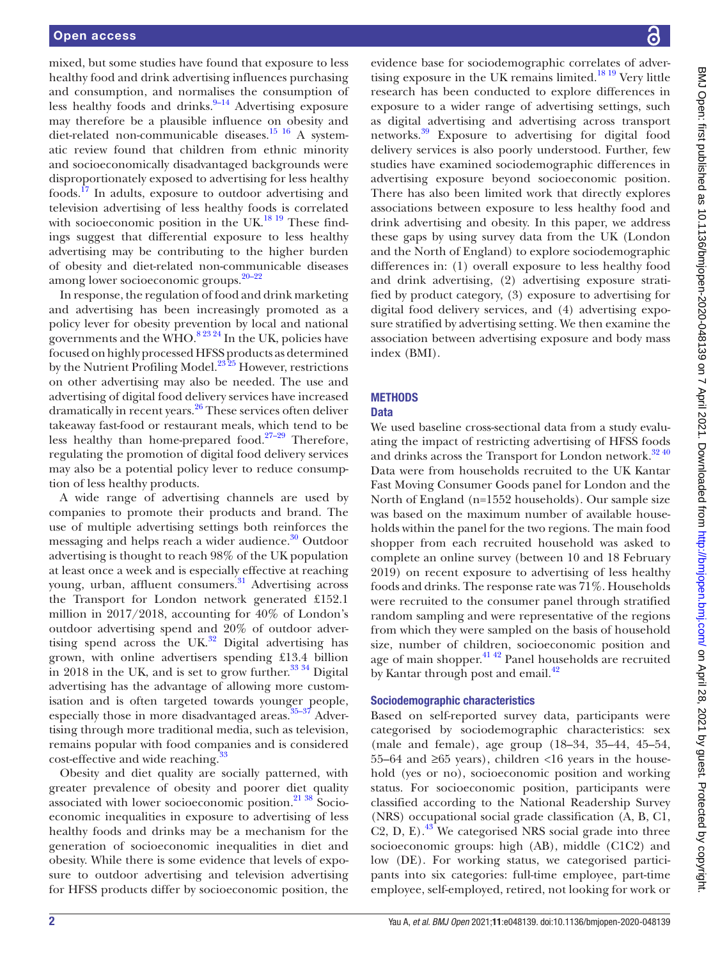mixed, but some studies have found that exposure to less healthy food and drink advertising influences purchasing and consumption, and normalises the consumption of less healthy foods and drinks. $9-14$  Advertising exposure may therefore be a plausible influence on obesity and diet-related non-communicable diseases.<sup>[15 16](#page-10-5)</sup> A systematic review found that children from ethnic minority and socioeconomically disadvantaged backgrounds were disproportionately exposed to advertising for less healthy foods.[17](#page-10-6) In adults, exposure to outdoor advertising and television advertising of less healthy foods is correlated with socioeconomic position in the UK.<sup>[18 19](#page-10-7)</sup> These findings suggest that differential exposure to less healthy advertising may be contributing to the higher burden of obesity and diet-related non-communicable diseases among lower socioeconomic groups. $20-22$ 

In response, the regulation of food and drink marketing and advertising has been increasingly promoted as a policy lever for obesity prevention by local and national governments and the WHO. $82324$  In the UK, policies have focused on highly processed HFSS products as determined by the Nutrient Profiling Model. $23\overline{25}$  However, restrictions on other advertising may also be needed. The use and advertising of digital food delivery services have increased dramatically in recent years.<sup>26</sup> These services often deliver takeaway fast-food or restaurant meals, which tend to be less healthy than home-prepared food. $27-29$  Therefore, regulating the promotion of digital food delivery services may also be a potential policy lever to reduce consumption of less healthy products.

A wide range of advertising channels are used by companies to promote their products and brand. The use of multiple advertising settings both reinforces the messaging and helps reach a wider audience.<sup>30</sup> Outdoor advertising is thought to reach 98% of the UK population at least once a week and is especially effective at reaching young, urban, affluent consumers.<sup>31</sup> Advertising across the Transport for London network generated £152.1 million in 2017/2018, accounting for 40% of London's outdoor advertising spend and 20% of outdoor advertising spend across the UK. $32$  Digital advertising has grown, with online advertisers spending £13.4 billion in 2018 in the UK, and is set to grow further. $3334$  Digital advertising has the advantage of allowing more customisation and is often targeted towards younger people, especially those in more disadvantaged areas. $35-37$  Advertising through more traditional media, such as television, remains popular with food companies and is considered cost-effective and wide reaching.<sup>[33](#page-11-3)</sup>

Obesity and diet quality are socially patterned, with greater prevalence of obesity and poorer diet quality associated with lower socioeconomic position.<sup>21</sup> <sup>38</sup> Socioeconomic inequalities in exposure to advertising of less healthy foods and drinks may be a mechanism for the generation of socioeconomic inequalities in diet and obesity. While there is some evidence that levels of exposure to outdoor advertising and television advertising for HFSS products differ by socioeconomic position, the

evidence base for sociodemographic correlates of advertising exposure in the UK remains limited. $18^{19}$  Very little research has been conducted to explore differences in exposure to a wider range of advertising settings, such as digital advertising and advertising across transport networks[.39](#page-11-5) Exposure to advertising for digital food delivery services is also poorly understood. Further, few studies have examined sociodemographic differences in advertising exposure beyond socioeconomic position. There has also been limited work that directly explores associations between exposure to less healthy food and drink advertising and obesity. In this paper, we address these gaps by using survey data from the UK (London and the North of England) to explore sociodemographic differences in: (1) overall exposure to less healthy food and drink advertising, (2) advertising exposure stratified by product category, (3) exposure to advertising for digital food delivery services, and (4) advertising exposure stratified by advertising setting. We then examine the association between advertising exposure and body mass index (BMI).

## **METHODS**

## **Data**

We used baseline cross-sectional data from a study evaluating the impact of restricting advertising of HFSS foods and drinks across the Transport for London network.<sup>32 40</sup> Data were from households recruited to the UK Kantar Fast Moving Consumer Goods panel for London and the North of England (n=1552 households). Our sample size was based on the maximum number of available households within the panel for the two regions. The main food shopper from each recruited household was asked to complete an online survey (between 10 and 18 February 2019) on recent exposure to advertising of less healthy foods and drinks. The response rate was 71%. Households were recruited to the consumer panel through stratified random sampling and were representative of the regions from which they were sampled on the basis of household size, number of children, socioeconomic position and age of main shopper.<sup>41 42</sup> Panel households are recruited by Kantar through post and email.<sup>42</sup>

## Sociodemographic characteristics

Based on self-reported survey data, participants were categorised by sociodemographic characteristics: sex (male and female), age group (18–34, 35–44, 45–54, 55–64 and ≥65 years), children <16 years in the household (yes or no), socioeconomic position and working status. For socioeconomic position, participants were classified according to the National Readership Survey (NRS) occupational social grade classification (A, B, C1, C2, D, E $^{13}$  We categorised NRS social grade into three socioeconomic groups: high (AB), middle (C1C2) and low (DE). For working status, we categorised participants into six categories: full-time employee, part-time employee, self-employed, retired, not looking for work or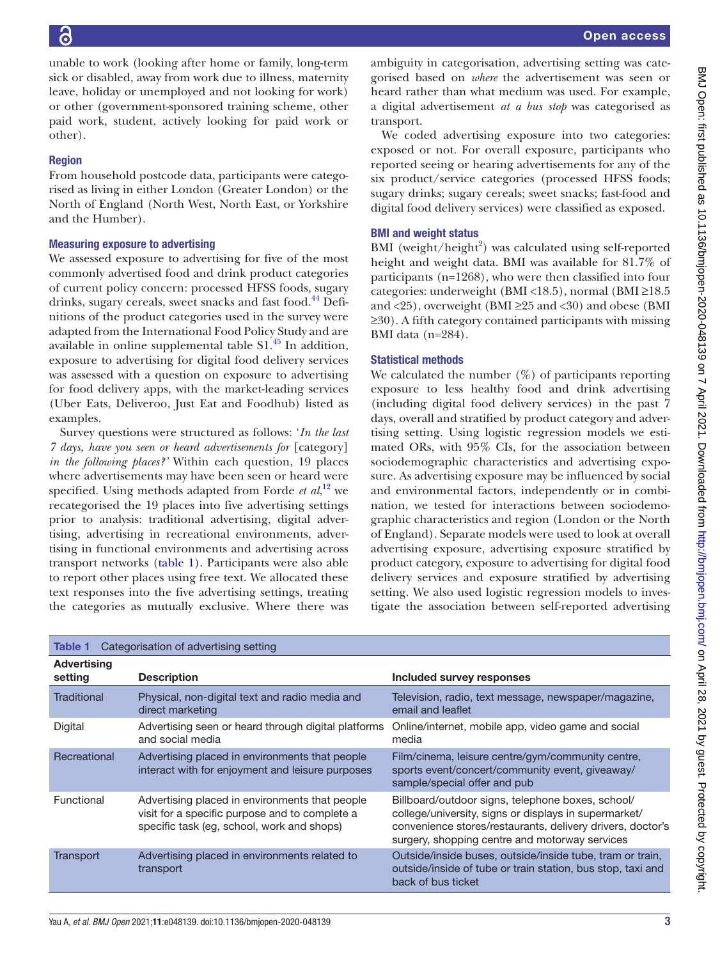unable to work (looking after home or family, long-term sick or disabled, away from work due to illness, maternity leave, holiday or unemployed and not looking for work) or other (government-sponsored training scheme, other paid work, student, actively looking for paid work or other).

#### Region

From household postcode data, participants were categorised as living in either London (Greater London) or the North of England (North West, North East, or Yorkshire and the Humber).

#### Measuring exposure to advertising

We assessed exposure to advertising for five of the most commonly advertised food and drink product categories of current policy concern: processed HFSS foods, sugary drinks, sugary cereals, sweet snacks and fast food.<sup>[44](#page-11-9)</sup> Definitions of the product categories used in the survey were adapted from the International Food Policy Study and are available in online supplemental table  $SI<sup>45</sup>$  In addition, exposure to advertising for digital food delivery services was assessed with a question on exposure to advertising for food delivery apps, with the market-leading services (Uber Eats, Deliveroo, Just Eat and Foodhub) listed as examples.

Survey questions were structured as follows: '*In the last 7 days, have you seen or heard advertisements for* [category] *in the following places?'* Within each question, 19 places where advertisements may have been seen or heard were specified. Using methods adapted from Forde *et al*, [12](#page-10-14) we recategorised the 19 places into five advertising settings prior to analysis: traditional advertising, digital advertising, advertising in recreational environments, advertising in functional environments and advertising across transport networks ([table](#page-2-0) 1). Participants were also able to report other places using free text. We allocated these text responses into the five advertising settings, treating the categories as mutually exclusive. Where there was

ambiguity in categorisation, advertising setting was categorised based on *where* the advertisement was seen or heard rather than what medium was used. For example, a digital advertisement *at a bus stop* was categorised as transport.

We coded advertising exposure into two categories: exposed or not. For overall exposure, participants who reported seeing or hearing advertisements for any of the six product/service categories (processed HFSS foods; sugary drinks; sugary cereals; sweet snacks; fast-food and digital food delivery services) were classified as exposed.

#### BMI and weight status

BMI (weight/height<sup>2</sup>) was calculated using self-reported height and weight data. BMI was available for 81.7% of participants (n=1268), who were then classified into four categories: underweight (BMI <18.5), normal (BMI ≥18.5 and  $\langle 25 \rangle$ , overweight (BMI ≥25 and  $\langle 30 \rangle$ ) and obese (BMI ≥30). A fifth category contained participants with missing BMI data (n=284).

### Statistical methods

We calculated the number  $(\%)$  of participants reporting exposure to less healthy food and drink advertising (including digital food delivery services) in the past 7 days, overall and stratified by product category and advertising setting. Using logistic regression models we estimated ORs, with 95% CIs, for the association between sociodemographic characteristics and advertising exposure. As advertising exposure may be influenced by social and environmental factors, independently or in combination, we tested for interactions between sociodemographic characteristics and region (London or the North of England). Separate models were used to look at overall advertising exposure, advertising exposure stratified by product category, exposure to advertising for digital food delivery services and exposure stratified by advertising setting. We also used logistic regression models to investigate the association between self-reported advertising

<span id="page-2-0"></span>

| Table 1                       | Categorisation of advertising setting                                                                                                          |                                                                                                                                                                                                                            |
|-------------------------------|------------------------------------------------------------------------------------------------------------------------------------------------|----------------------------------------------------------------------------------------------------------------------------------------------------------------------------------------------------------------------------|
| <b>Advertising</b><br>setting | <b>Description</b>                                                                                                                             | Included survey responses                                                                                                                                                                                                  |
| Traditional                   | Physical, non-digital text and radio media and<br>direct marketing                                                                             | Television, radio, text message, newspaper/magazine,<br>email and leaflet                                                                                                                                                  |
| Digital                       | Advertising seen or heard through digital platforms<br>and social media                                                                        | Online/internet, mobile app, video game and social<br>media                                                                                                                                                                |
| Recreational                  | Advertising placed in environments that people<br>interact with for enjoyment and leisure purposes                                             | Film/cinema, leisure centre/gym/community centre,<br>sports event/concert/community event, giveaway/<br>sample/special offer and pub                                                                                       |
| Functional                    | Advertising placed in environments that people<br>visit for a specific purpose and to complete a<br>specific task (eg, school, work and shops) | Billboard/outdoor signs, telephone boxes, school/<br>college/university, signs or displays in supermarket/<br>convenience stores/restaurants, delivery drivers, doctor's<br>surgery, shopping centre and motorway services |
| Transport                     | Advertising placed in environments related to<br>transport                                                                                     | Outside/inside buses, outside/inside tube, tram or train,<br>outside/inside of tube or train station, bus stop, taxi and<br>back of bus ticket                                                                             |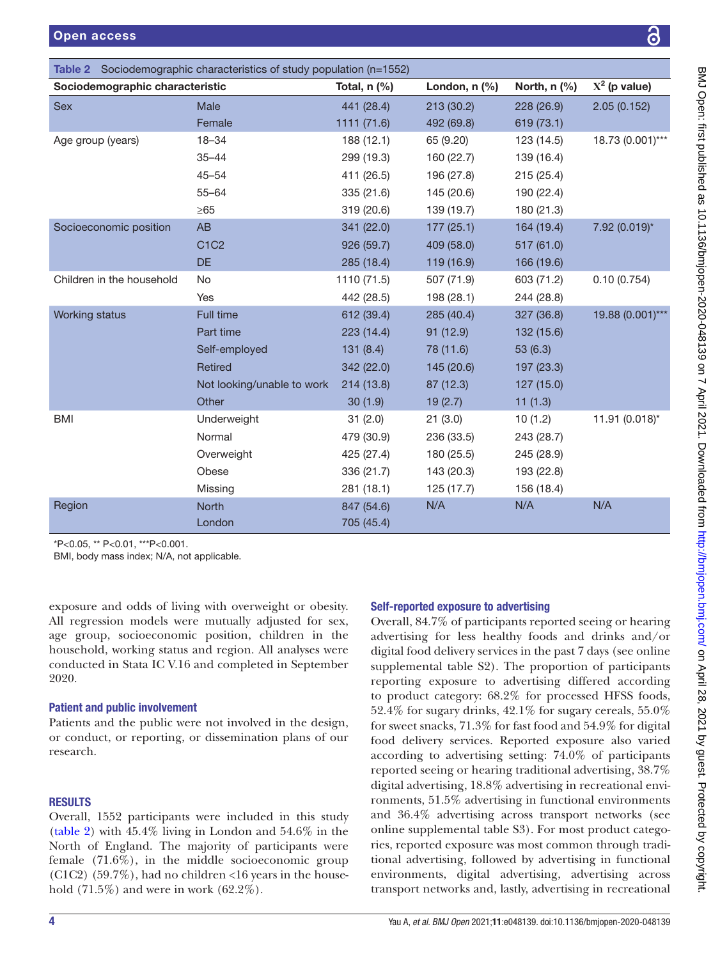<span id="page-3-0"></span>

|                                 | <b>Table 2</b> Sociodemographic characteristics of study population (n=1552) |                |                    |              |                  |
|---------------------------------|------------------------------------------------------------------------------|----------------|--------------------|--------------|------------------|
| Sociodemographic characteristic |                                                                              | Total, $n$ (%) | London, $n$ $(\%)$ | North, n (%) | $X^2$ (p value)  |
| Sex                             | Male                                                                         | 441 (28.4)     | 213 (30.2)         | 228 (26.9)   | 2.05(0.152)      |
|                                 | Female                                                                       | 1111 (71.6)    | 492 (69.8)         | 619 (73.1)   |                  |
| Age group (years)               | $18 - 34$                                                                    | 188 (12.1)     | 65 (9.20)          | 123 (14.5)   | 18.73 (0.001)*** |
|                                 | $35 - 44$                                                                    | 299 (19.3)     | 160 (22.7)         | 139 (16.4)   |                  |
|                                 | $45 - 54$                                                                    | 411 (26.5)     | 196 (27.8)         | 215(25.4)    |                  |
|                                 | $55 - 64$                                                                    | 335 (21.6)     | 145 (20.6)         | 190 (22.4)   |                  |
|                                 | $\geq 65$                                                                    | 319(20.6)      | 139 (19.7)         | 180 (21.3)   |                  |
| Socioeconomic position          | AB                                                                           | 341 (22.0)     | 177(25.1)          | 164 (19.4)   | 7.92 (0.019)*    |
|                                 | C1C2                                                                         | 926 (59.7)     | 409 (58.0)         | 517 (61.0)   |                  |
|                                 | <b>DE</b>                                                                    | 285 (18.4)     | 119 (16.9)         | 166 (19.6)   |                  |
| Children in the household       | No                                                                           | 1110 (71.5)    | 507 (71.9)         | 603 (71.2)   | 0.10(0.754)      |
|                                 | Yes                                                                          | 442 (28.5)     | 198 (28.1)         | 244 (28.8)   |                  |
| Working status                  | Full time                                                                    | 612 (39.4)     | 285 (40.4)         | 327 (36.8)   | 19.88 (0.001)*** |
|                                 | Part time                                                                    | 223 (14.4)     | 91 (12.9)          | 132 (15.6)   |                  |
|                                 | Self-employed                                                                | 131(8.4)       | 78 (11.6)          | 53(6.3)      |                  |
|                                 | Retired                                                                      | 342 (22.0)     | 145 (20.6)         | 197 (23.3)   |                  |
|                                 | Not looking/unable to work                                                   | 214 (13.8)     | 87 (12.3)          | 127(15.0)    |                  |
|                                 | Other                                                                        | 30(1.9)        | 19(2.7)            | 11(1.3)      |                  |
| <b>BMI</b>                      | Underweight                                                                  | 31(2.0)        | 21(3.0)            | 10(1.2)      | 11.91 (0.018)*   |
|                                 | Normal                                                                       | 479 (30.9)     | 236 (33.5)         | 243 (28.7)   |                  |
|                                 | Overweight                                                                   | 425 (27.4)     | 180 (25.5)         | 245 (28.9)   |                  |
|                                 | Obese                                                                        | 336 (21.7)     | 143 (20.3)         | 193 (22.8)   |                  |
|                                 | Missing                                                                      | 281 (18.1)     | 125 (17.7)         | 156 (18.4)   |                  |
| Region                          | North                                                                        | 847 (54.6)     | N/A                | N/A          | N/A              |
|                                 | London                                                                       | 705 (45.4)     |                    |              |                  |
| $0.05$ $**$ D.0.04 $***$ D.0.04 |                                                                              |                |                    |              |                  |

\*P<0.05, \*\* P<0.01, \*\*\*P<0.001.

BMI, body mass index; N/A, not applicable.

exposure and odds of living with overweight or obesity. All regression models were mutually adjusted for sex, age group, socioeconomic position, children in the household, working status and region. All analyses were conducted in Stata IC V.16 and completed in September 2020.

#### Patient and public involvement

Patients and the public were not involved in the design, or conduct, or reporting, or dissemination plans of our research.

## RESULTS

Overall, 1552 participants were included in this study ([table](#page-3-0) 2) with 45.4% living in London and 54.6% in the North of England. The majority of participants were female (71.6%), in the middle socioeconomic group  $(C1C2)$  (59.7%), had no children <16 years in the household (71.5%) and were in work (62.2%).

## Self-reported exposure to advertising

Overall, 84.7% of participants reported seeing or hearing advertising for less healthy foods and drinks and/or digital food delivery services in the past 7 days (see [online](https://dx.doi.org/10.1136/bmjopen-2020-048139)  [supplemental table S2\)](https://dx.doi.org/10.1136/bmjopen-2020-048139). The proportion of participants reporting exposure to advertising differed according to product category: 68.2% for processed HFSS foods, 52.4% for sugary drinks, 42.1% for sugary cereals, 55.0% for sweet snacks, 71.3% for fast food and 54.9% for digital food delivery services. Reported exposure also varied according to advertising setting: 74.0% of participants reported seeing or hearing traditional advertising, 38.7% digital advertising, 18.8% advertising in recreational environments, 51.5% advertising in functional environments and 36.4% advertising across transport networks (see [online supplemental table S3\)](https://dx.doi.org/10.1136/bmjopen-2020-048139). For most product categories, reported exposure was most common through traditional advertising, followed by advertising in functional environments, digital advertising, advertising across transport networks and, lastly, advertising in recreational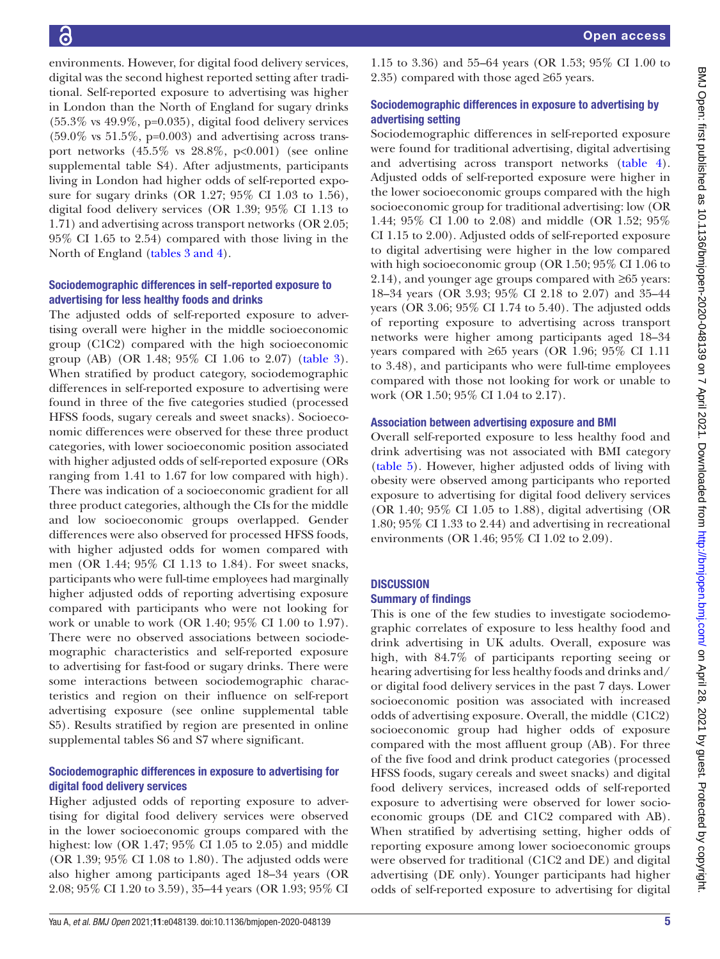environments. However, for digital food delivery services, digital was the second highest reported setting after traditional. Self-reported exposure to advertising was higher in London than the North of England for sugary drinks (55.3% vs 49.9%, p=0.035), digital food delivery services  $(59.0\% \text{ vs } 51.5\%, \text{ p=0.003})$  and advertising across transport networks  $(45.5\% \text{ vs } 28.8\%, \text{ p} < 0.001)$  (see [online](https://dx.doi.org/10.1136/bmjopen-2020-048139) [supplemental table S4](https://dx.doi.org/10.1136/bmjopen-2020-048139)). After adjustments, participants living in London had higher odds of self-reported exposure for sugary drinks (OR 1.27; 95% CI 1.03 to 1.56), digital food delivery services (OR 1.39; 95% CI 1.13 to 1.71) and advertising across transport networks (OR 2.05; 95% CI 1.65 to 2.54) compared with those living in the North of England (tables [3 and 4](#page-5-0)).

#### Sociodemographic differences in self-reported exposure to advertising for less healthy foods and drinks

The adjusted odds of self-reported exposure to advertising overall were higher in the middle socioeconomic group (C1C2) compared with the high socioeconomic group (AB) (OR 1.48; 95% CI 1.06 to 2.07) ([table](#page-5-0) 3). When stratified by product category, sociodemographic differences in self-reported exposure to advertising were found in three of the five categories studied (processed HFSS foods, sugary cereals and sweet snacks). Socioeconomic differences were observed for these three product categories, with lower socioeconomic position associated with higher adjusted odds of self-reported exposure (ORs ranging from 1.41 to 1.67 for low compared with high). There was indication of a socioeconomic gradient for all three product categories, although the CIs for the middle and low socioeconomic groups overlapped. Gender differences were also observed for processed HFSS foods, with higher adjusted odds for women compared with men (OR 1.44; 95% CI 1.13 to 1.84). For sweet snacks, participants who were full-time employees had marginally higher adjusted odds of reporting advertising exposure compared with participants who were not looking for work or unable to work (OR 1.40; 95% CI 1.00 to 1.97). There were no observed associations between sociodemographic characteristics and self-reported exposure to advertising for fast-food or sugary drinks. There were some interactions between sociodemographic characteristics and region on their influence on self-report advertising exposure (see [online supplemental table](https://dx.doi.org/10.1136/bmjopen-2020-048139) [S5\)](https://dx.doi.org/10.1136/bmjopen-2020-048139). Results stratified by region are presented in [online](https://dx.doi.org/10.1136/bmjopen-2020-048139) [supplemental tables S6 and S7](https://dx.doi.org/10.1136/bmjopen-2020-048139) where significant.

### Sociodemographic differences in exposure to advertising for digital food delivery services

Higher adjusted odds of reporting exposure to advertising for digital food delivery services were observed in the lower socioeconomic groups compared with the highest: low (OR 1.47; 95% CI 1.05 to 2.05) and middle (OR 1.39; 95% CI 1.08 to 1.80). The adjusted odds were also higher among participants aged 18–34 years (OR 2.08; 95% CI 1.20 to 3.59), 35–44 years (OR 1.93; 95% CI

1.15 to 3.36) and 55–64 years (OR 1.53; 95% CI 1.00 to 2.35) compared with those aged ≥65 years.

### Sociodemographic differences in exposure to advertising by advertising setting

Sociodemographic differences in self-reported exposure were found for traditional advertising, digital advertising and advertising across transport networks [\(table](#page-6-0) 4). Adjusted odds of self-reported exposure were higher in the lower socioeconomic groups compared with the high socioeconomic group for traditional advertising: low (OR 1.44; 95% CI 1.00 to 2.08) and middle (OR 1.52; 95% CI 1.15 to 2.00). Adjusted odds of self-reported exposure to digital advertising were higher in the low compared with high socioeconomic group (OR 1.50; 95% CI 1.06 to 2.14), and younger age groups compared with ≥65 years: 18–34 years (OR 3.93; 95% CI 2.18 to 2.07) and 35–44 years (OR 3.06; 95% CI 1.74 to 5.40). The adjusted odds of reporting exposure to advertising across transport networks were higher among participants aged 18–34 years compared with ≥65 years (OR 1.96; 95% CI 1.11 to 3.48), and participants who were full-time employees compared with those not looking for work or unable to work (OR 1.50; 95% CI 1.04 to 2.17).

### Association between advertising exposure and BMI

Overall self-reported exposure to less healthy food and drink advertising was not associated with BMI category [\(table](#page-7-0) 5). However, higher adjusted odds of living with obesity were observed among participants who reported exposure to advertising for digital food delivery services (OR 1.40; 95% CI 1.05 to 1.88), digital advertising (OR 1.80; 95% CI 1.33 to 2.44) and advertising in recreational environments (OR 1.46; 95% CI 1.02 to 2.09).

## **DISCUSSION**

#### Summary of findings

This is one of the few studies to investigate sociodemographic correlates of exposure to less healthy food and drink advertising in UK adults. Overall, exposure was high, with 84.7% of participants reporting seeing or hearing advertising for less healthy foods and drinks and/ or digital food delivery services in the past 7 days. Lower socioeconomic position was associated with increased odds of advertising exposure. Overall, the middle (C1C2) socioeconomic group had higher odds of exposure compared with the most affluent group (AB). For three of the five food and drink product categories (processed HFSS foods, sugary cereals and sweet snacks) and digital food delivery services, increased odds of self-reported exposure to advertising were observed for lower socioeconomic groups (DE and C1C2 compared with AB). When stratified by advertising setting, higher odds of reporting exposure among lower socioeconomic groups were observed for traditional (C1C2 and DE) and digital advertising (DE only). Younger participants had higher odds of self-reported exposure to advertising for digital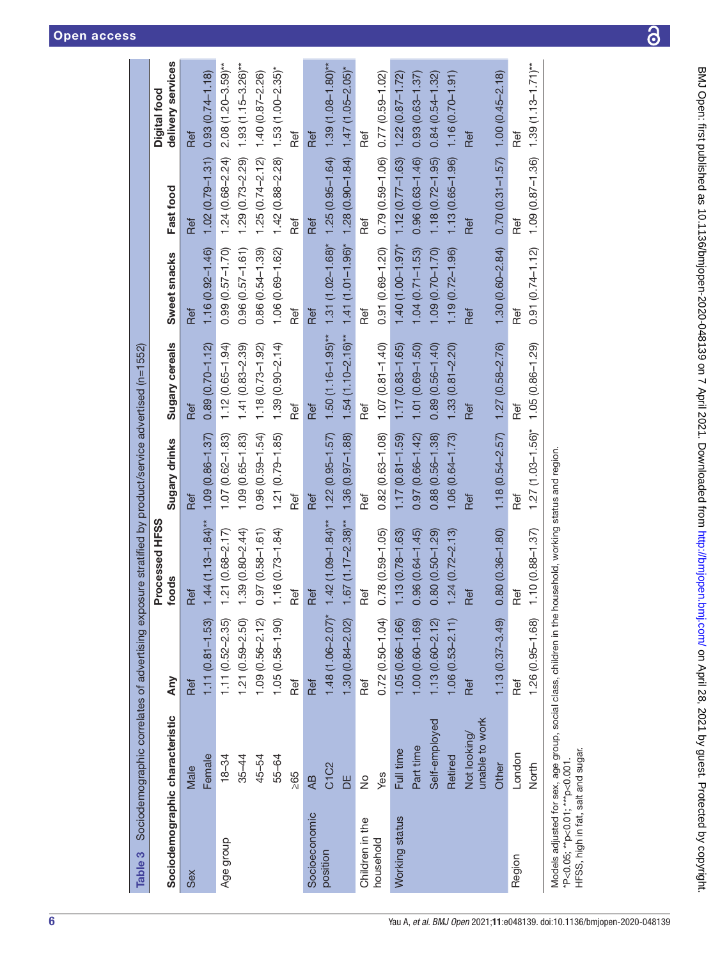|                                 |                               |                                                                                                         | Processed HFSS          |                         |                        |                       |                                             | Digital food                                       |
|---------------------------------|-------------------------------|---------------------------------------------------------------------------------------------------------|-------------------------|-------------------------|------------------------|-----------------------|---------------------------------------------|----------------------------------------------------|
| Sociodemographic characteristic |                               | Any                                                                                                     | foods                   | Sugary drinks           | <b>Sugary cereals</b>  | Sweet snacks          | Fast food                                   | delivery services                                  |
| Sex                             | Male                          | Ref                                                                                                     | Ref                     | Ref                     | Ref                    | Ref                   | Ref                                         | Ref                                                |
|                                 | Female                        | $1.11(0.81 - 1.53)$                                                                                     | $1.44(1.13 - 1.84)$ **  | $1.09(0.86 - 1.37)$     | $0.89(0.70 - 1.12)$    | $1.16(0.92 - 1.46)$   | $1.02(0.79 - 1.31)$                         | $0.93(0.74 - 1.18)$                                |
| Age group                       | $18 - 34$                     | $1.11(0.52 - 2.35)$                                                                                     | $.21(0.68 - 2.17)$      | $1.07(0.62 - 1.83)$     | $1.12(0.65 - 1.94)$    | $0.99(0.57 - 1.70)$   | $1.24(0.68 - 2.24)$                         | $2.08(1.20 - 3.59)$ **                             |
|                                 | $35 - 44$                     | $1.21(0.59 - 2.50)$                                                                                     | $.39(0.80 - 2.44)$      | $1.09(0.65 - 1.83)$     | $1.41(0.83 - 2.39)$    | $0.96(0.57 - 1.61)$   | $1.29(0.73 - 2.29)$                         | $1.93(1.15 - 3.26)$ **                             |
|                                 | 45-54                         | $1.09(0.56 - 2.12)$                                                                                     | $.97(0.58 - 1.61)$<br>0 | $0.96(0.59 - 1.54)$     | $1.18(0.73 - 1.92)$    | $0.86(0.54 - 1.39)$   | $1.25(0.74 - 2.12)$                         | $1.40(0.87 - 2.26)$                                |
|                                 | 55-64                         | $1.05(0.58 - 1.90)$                                                                                     | $16(0.73 - 1.84)$       | $1.21(0.79 - 1.85)$     | $1.39(0.90 - 2.14)$    | 1.06 (0.69-1.62)      | $1.42(0.88 - 2.28)$                         | $1.53(1.00 - 2.35)^{*}$                            |
|                                 | 295                           | Ref                                                                                                     | Ref                     | Ref                     | Ref                    | Ref                   | Ref                                         | Ref                                                |
| Socioeconomic                   | Æ                             | Ref                                                                                                     | Ref                     | Ref                     | Ref                    | Ref                   | Ref                                         | Ref                                                |
| position                        | C <sub>1</sub> C <sub>2</sub> | $1.48(1.06 - 2.07)^{*}$                                                                                 | $1.42(1.09 - 1.84)$ **  | $1.22(0.95 - 1.57)$     | $1.50(1.16 - 1.95)$ ** | $1.31(1.02 - 1.68)$ * |                                             | $1.25(0.95 - 1.64)$ 1.39 (1.08-1.80) <sup>**</sup> |
|                                 | ЪE                            | $1.30(0.84 - 2.02)$                                                                                     | $1.67(1.17 - 2.38)$ **  | $1.36(0.97 - 1.88)$     | $1.54(1.10 - 2.16)$ ** | $1.41(1.01 - 1.96)$ * | $1.28$ (0.90-1.84) $1.47$ (1.05-2.05)*      |                                                    |
| Children in the                 | $\frac{1}{2}$                 | Ref                                                                                                     | Ref                     | Ref                     | Ref                    | Ref                   | Ref                                         | Ref                                                |
| household                       | Yes                           | $0.72(0.50 - 1.04)$                                                                                     | $0.78(0.59 - 1.05)$     | $0.82(0.63 - 1.08)$     | $1.07(0.81 - 1.40)$    | $0.91(0.69 - 1.20)$   | $0.79(0.59 - 1.06) 0.77(0.59 - 1.02)$       |                                                    |
| Working status                  | Full time                     | $1.05(0.66 - 1.66)$                                                                                     | $.13(0.78 - 1.63)$      | $1.17(0.81 - 1.59)$     | $1.17(0.83 - 1.65)$    | $1.40(1.00 - 1.97)$ * | $1.12(0.77 - 1.63)$                         | $1.22(0.87 - 1.72)$                                |
|                                 | Part time                     | 1.00 (0.60-1.69)                                                                                        | $.96(0.64 - 1.45)$<br>0 | $0.97(0.66 - 1.42)$     | $1.01(0.69 - 1.50)$    | $1.04(0.71 - 1.53)$   | $0.96(0.63 - 1.46)$                         | $0.93(0.63 - 1.37)$                                |
|                                 | Self-employed                 | $1.13(0.60 - 2.12)$                                                                                     | $.80(0.50 - 1.29)$      | $0.88(0.56 - 1.38)$     | $0.89(0.56 - 1.40)$    | $1.09(0.70 - 1.70)$   | $1.18(0.72 - 1.95)$                         | $0.84(0.54 - 1.32)$                                |
|                                 | Retired                       | $1.06(0.53 - 2.11)$                                                                                     | $.24(0.72 - 2.13)$      | $1.06(0.64 - 1.73)$     | $1.33(0.81 - 2.20)$    | $1.19(0.72 - 1.96)$   | 1.13 (0.65-1.96)                            | $1.16(0.70 - 1.91)$                                |
|                                 | unable to work<br>Not looking | Ref                                                                                                     | Ref                     | Ref                     | Ref                    | Ref                   | Ref                                         | Ref                                                |
|                                 | Other                         | $1.13(0.37 - 3.49)$                                                                                     | $0.80(0.36 - 1.80)$     | $1.18(0.54 - 2.57)$     | $1.27(0.58 - 2.76)$    | $1.30(0.60 - 2.84)$   | $0.70$ $(0.31 - 1.57)$ 1.00 $(0.45 - 2.18)$ |                                                    |
| Region                          | London                        | Ref                                                                                                     | Ref                     | ne<br>Ref               | Ref                    | Ref                   | Ref                                         | Ref                                                |
|                                 | North                         | $1.26(0.95 - 1.68)$                                                                                     | $1.10(0.88 - 1.37)$     | $1.27(1.03 - 1.56)^{*}$ | $1.05(0.86 - 1.29)$    | $0.91(0.74 - 1.12)$   |                                             | $1.09(0.87 - 1.36)$ 1.39 (1.13-1.71) <sup>**</sup> |
| P<0.05; **p<0.01; ***p<0.001    |                               | Models adjusted for sex, age group, social class, children in the household, working status and region. |                         |                         |                        |                       |                                             |                                                    |

<u>ය</u>

HFSS, high in fat, salt and sugar.

<span id="page-5-0"></span>HFSS, high in fat, salt and sugar.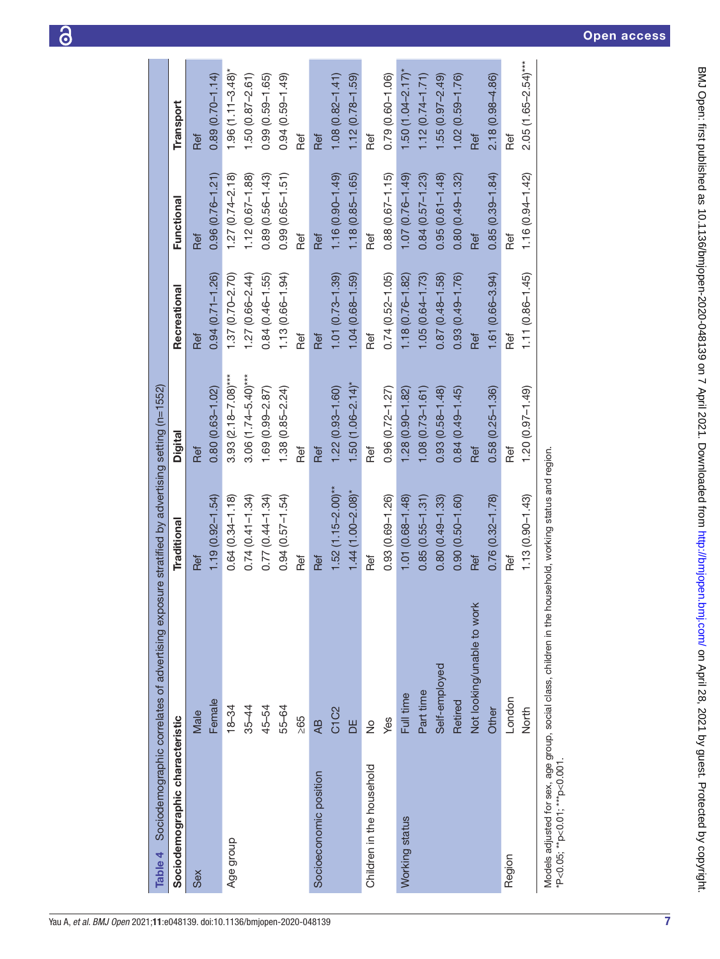<span id="page-6-0"></span>

|                                 | Table $4$ Sociodernographic correlates of advertising exposure stratified by advertising setting (n=1552) |                       |                         |                     |                     |                         |
|---------------------------------|-----------------------------------------------------------------------------------------------------------|-----------------------|-------------------------|---------------------|---------------------|-------------------------|
| Sociodemographic characteristic |                                                                                                           | Traditional           | Digital                 | Recreational        | Functional          | Transport               |
| Sex                             | Male                                                                                                      | Ref                   | Ref                     | Ref                 | Ref                 | Ref                     |
|                                 | Female                                                                                                    | $1.19(0.92 - 1.54)$   | $0.80(0.63 - 1.02)$     | $0.94(0.71 - 1.26)$ | $0.96(0.76 - 1.21)$ | $0.89(0.70 - 1.14)$     |
| Age group                       | $18 - 34$                                                                                                 | $0.64(0.34 - 1.18)$   | $3.93(2.18 - 7.08)***$  | $1.37(0.70 - 2.70)$ | $1.27(0.74 - 2.18)$ | $1.96(1.1 - 3.48)$ *    |
|                                 | $35 - 44$                                                                                                 | $0.74(0.41 - 1.34)$   | $3.06(1.74 - 5.40)$ *** | $1.27(0.66 - 2.44)$ | $1.12(0.67 - 1.88)$ | $1.50(0.87 - 2.61)$     |
|                                 | 45-54                                                                                                     | $0.77(0.44 - 1.34)$   | $1.69(0.99 - 2.87)$     | $0.84(0.46 - 1.55)$ | $0.89(0.56 - 1.43)$ | $0.99(0.59 - 1.65)$     |
|                                 | 55-64                                                                                                     | $0.94(0.57 - 1.54)$   | $1.38(0.85 - 2.24)$     | $1.13(0.66 - 1.94)$ | $0.99(0.65 - 1.51)$ | $0.94(0.59 - 1.49)$     |
|                                 | $\geq 65$                                                                                                 | Ref                   | Ref                     | Ref                 | Ref                 | Ref                     |
| Socioeconomic position          | $\overline{AB}$                                                                                           | Ref                   | Ref                     | Ref                 | Ref                 | Ref                     |
|                                 | C <sub>1</sub> C <sub>2</sub>                                                                             | $1.52(1.15-2.00)$ **  | $1.22(0.93 - 1.60)$     | $1.01(0.73 - 1.39)$ | $1.16(0.90 - 1.49)$ | $1.08(0.82 - 1.41)$     |
|                                 | ЪE                                                                                                        | $1.44(1.00 - 2.08)$ * | $1.50(1.06 - 2.14)^{*}$ | $1.04(0.68 - 1.59)$ | $1.18(0.85 - 1.65)$ | $1.12(0.78 - 1.59)$     |
| Children in the household       | $\frac{1}{2}$                                                                                             | Ref                   | Ref                     | Ref                 | Ref                 | Ref                     |
|                                 | Yes                                                                                                       | $0.93(0.69 - 1.26)$   | $0.96(0.72 - 1.27)$     | $0.74(0.52 - 1.05)$ | $0.88(0.67 - 1.15)$ | $0.79(0.60 - 1.06)$     |
| Working status                  | Full time                                                                                                 | 1.01 (0.68-1.48)      | $1.28(0.90 - 1.82)$     | $1.18(0.76 - 1.82)$ | $1.07(0.76 - 1.49)$ | $1.50(1.04 - 2.17)$ *   |
|                                 | Part time                                                                                                 | $0.85(0.55 - 1.31)$   | $1.08(0.73 - 1.61)$     | $1.05(0.64 - 1.73)$ | $0.84(0.57 - 1.23)$ | $1.12(0.74 - 1.71)$     |
|                                 | Self-employed                                                                                             | $0.80(0.49 - 1.33)$   | $0.93(0.58 - 1.48)$     | $0.87(0.48 - 1.58)$ | $0.95(0.61 - 1.48)$ | $.55(0.97 - 2.49)$      |
|                                 | Retired                                                                                                   | $0.90(0.50 - 1.60)$   | $0.84(0.49 - 1.45)$     | $0.93(0.49 - 1.76)$ | $0.80(0.49 - 1.32)$ | $1.02(0.59 - 1.76)$     |
|                                 | Not looking/unable to work                                                                                | Ref                   | Ref                     | Ref                 | Ref                 | Ref                     |
|                                 | Other                                                                                                     | $0.76(0.32 - 1.78)$   | $0.58(0.25 - 1.36)$     | $1.61(0.66 - 3.94)$ | $0.85(0.39 - 1.84)$ | $2.18(0.98 - 4.86)$     |
| Region                          | London                                                                                                    | Ref                   | Ref                     | Ref                 | Ref                 | Ref                     |
|                                 | North                                                                                                     | $1.13(0.90 - 1.43)$   | $1.20(0.97 - 1.49)$     | $1.11(0.86 - 1.45)$ | $1.16(0.94 - 1.42)$ | $2.05(1.65 - 2.54)$ *** |
|                                 | Models adjusted for sex, age group, social class, children in the household, working status and region.   |                       |                         |                     |                     |                         |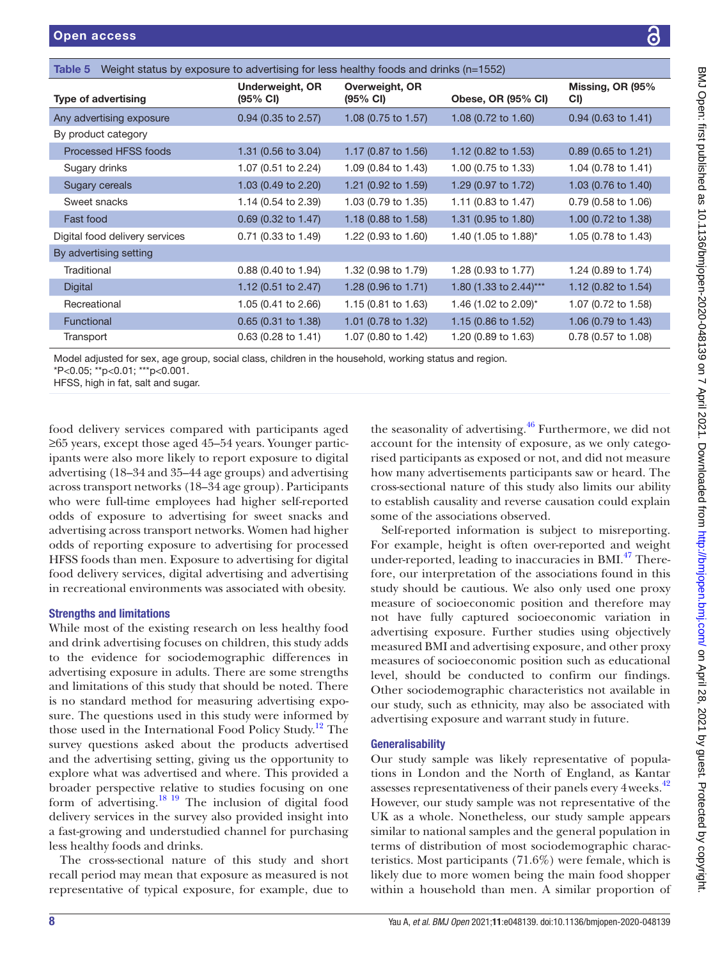<span id="page-7-0"></span>

| <b>Type of advertising</b>                                                                                                                                                     | Underweight, OR<br>(95% CI) | Overweight, OR<br>(95% CI) | Obese, OR (95% CI)     | Missing, OR (95%<br>CI |
|--------------------------------------------------------------------------------------------------------------------------------------------------------------------------------|-----------------------------|----------------------------|------------------------|------------------------|
| Any advertising exposure                                                                                                                                                       | $0.94$ (0.35 to 2.57)       | 1.08 (0.75 to 1.57)        | 1.08 (0.72 to 1.60)    | $0.94$ (0.63 to 1.41)  |
| By product category                                                                                                                                                            |                             |                            |                        |                        |
| Processed HFSS foods                                                                                                                                                           | 1.31 (0.56 to 3.04)         | 1.17 (0.87 to 1.56)        | 1.12 (0.82 to 1.53)    | 0.89 (0.65 to 1.21)    |
| Sugary drinks                                                                                                                                                                  | 1.07 (0.51 to 2.24)         | 1.09 (0.84 to 1.43)        | 1.00 (0.75 to 1.33)    | 1.04 (0.78 to 1.41)    |
| Sugary cereals                                                                                                                                                                 | 1.03 (0.49 to 2.20)         | 1.21 (0.92 to 1.59)        | 1.29 (0.97 to 1.72)    | 1.03 (0.76 to 1.40)    |
| Sweet snacks                                                                                                                                                                   | 1.14 (0.54 to 2.39)         | 1.03 (0.79 to 1.35)        | 1.11 (0.83 to 1.47)    | 0.79 (0.58 to 1.06)    |
| Fast food                                                                                                                                                                      | 0.69 (0.32 to 1.47)         | 1.18 (0.88 to 1.58)        | 1.31 (0.95 to 1.80)    | 1.00 (0.72 to 1.38)    |
| Digital food delivery services                                                                                                                                                 | 0.71 (0.33 to 1.49)         | 1.22 (0.93 to 1.60)        | 1.40 (1.05 to 1.88)*   | 1.05 (0.78 to 1.43)    |
| By advertising setting                                                                                                                                                         |                             |                            |                        |                        |
| Traditional                                                                                                                                                                    | 0.88 (0.40 to 1.94)         | 1.32 (0.98 to 1.79)        | 1.28 (0.93 to 1.77)    | 1.24 (0.89 to 1.74)    |
| <b>Digital</b>                                                                                                                                                                 | 1.12 (0.51 to 2.47)         | 1.28 (0.96 to 1.71)        | 1.80 (1.33 to 2.44)*** | 1.12 (0.82 to 1.54)    |
| Recreational                                                                                                                                                                   | 1.05 (0.41 to 2.66)         | 1.15 (0.81 to 1.63)        | 1.46 (1.02 to 2.09)*   | 1.07 (0.72 to 1.58)    |
| Functional                                                                                                                                                                     | 0.65 (0.31 to 1.38)         | 1.01 (0.78 to 1.32)        | 1.15 (0.86 to 1.52)    | 1.06 (0.79 to 1.43)    |
| Transport                                                                                                                                                                      | 0.63 (0.28 to 1.41)         | 1.07 (0.80 to 1.42)        | 1.20 (0.89 to 1.63)    | 0.78 (0.57 to 1.08)    |
| Model adjusted for sex, age group, social class, children in the household, working status and region.<br>*P<0.05; **p<0.01; ***p<0.001.<br>HFSS, high in fat, salt and sugar. |                             |                            |                        |                        |

food delivery services compare ≥65 years, except those aged 45–54 years. Younger participants were also more likely to report exposure to digital advertising (18–34 and 35–44 age groups) and advertising across transport networks (18–34 age group). Participants who were full-time employees had higher self-reported odds of exposure to advertising for sweet snacks and advertising across transport networks. Women had higher odds of reporting exposure to advertising for processed HFSS foods than men. Exposure to advertising for digital food delivery services, digital advertising and advertising in recreational environments was associated with obesity.

#### Strengths and limitations

While most of the existing research on less healthy food and drink advertising focuses on children, this study adds to the evidence for sociodemographic differences in advertising exposure in adults. There are some strengths and limitations of this study that should be noted. There is no standard method for measuring advertising exposure. The questions used in this study were informed by those used in the International Food Policy Study.<sup>12</sup> The survey questions asked about the products advertised and the advertising setting, giving us the opportunity to explore what was advertised and where. This provided a broader perspective relative to studies focusing on one form of advertising[.18 19](#page-10-7) The inclusion of digital food delivery services in the survey also provided insight into a fast-growing and understudied channel for purchasing less healthy foods and drinks.

The cross-sectional nature of this study and short recall period may mean that exposure as measured is not representative of typical exposure, for example, due to

the seasonality of advertising.<sup>46</sup> Furthermore, we did not account for the intensity of exposure, as we only categorised participants as exposed or not, and did not measure how many advertisements participants saw or heard. The cross-sectional nature of this study also limits our ability to establish causality and reverse causation could explain some of the associations observed.

Self-reported information is subject to misreporting. For example, height is often over-reported and weight under-reported, leading to inaccuracies in BMI.<sup>47</sup> Therefore, our interpretation of the associations found in this study should be cautious. We also only used one proxy measure of socioeconomic position and therefore may not have fully captured socioeconomic variation in advertising exposure. Further studies using objectively measured BMI and advertising exposure, and other proxy measures of socioeconomic position such as educational level, should be conducted to confirm our findings. Other sociodemographic characteristics not available in our study, such as ethnicity, may also be associated with advertising exposure and warrant study in future.

#### **Generalisability**

Our study sample was likely representative of populations in London and the North of England, as Kantar assesses representativeness of their panels every 4 weeks.<sup>[42](#page-11-7)</sup> However, our study sample was not representative of the UK as a whole. Nonetheless, our study sample appears similar to national samples and the general population in terms of distribution of most sociodemographic characteristics. Most participants (71.6%) were female, which is likely due to more women being the main food shopper within a household than men. A similar proportion of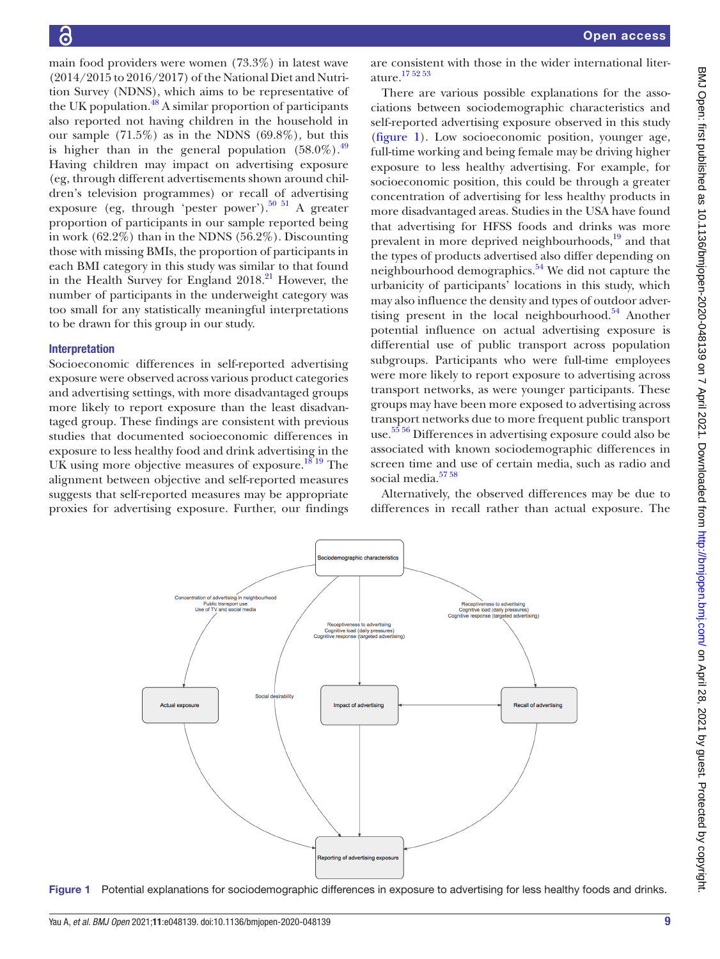main food providers were women (73.3%) in latest wave (2014/2015 to 2016/2017) of the National Diet and Nutrition Survey (NDNS), which aims to be representative of the UK population.<sup>48</sup> A similar proportion of participants also reported not having children in the household in our sample  $(71.5\%)$  as in the NDNS  $(69.8\%)$ , but this is higher than in the general population  $(58.0\%)$ .<sup>[49](#page-11-14)</sup> Having children may impact on advertising exposure (eg, through different advertisements shown around children's television programmes) or recall of advertising exposure (eg, through 'pester power'). $50\,51\,$  A greater proportion of participants in our sample reported being in work (62.2%) than in the NDNS (56.2%). Discounting those with missing BMIs, the proportion of participants in each BMI category in this study was similar to that found in the Health Survey for England  $2018<sup>21</sup>$  However, the number of participants in the underweight category was too small for any statistically meaningful interpretations to be drawn for this group in our study.

#### Interpretation

Socioeconomic differences in self-reported advertising exposure were observed across various product categories and advertising settings, with more disadvantaged groups more likely to report exposure than the least disadvantaged group. These findings are consistent with previous studies that documented socioeconomic differences in exposure to less healthy food and drink advertising in the UK using more objective measures of exposure.<sup>18 19</sup> The alignment between objective and self-reported measures suggests that self-reported measures may be appropriate proxies for advertising exposure. Further, our findings

are consistent with those in the wider international literature[.17 52 53](#page-10-6)

There are various possible explanations for the associations between sociodemographic characteristics and self-reported advertising exposure observed in this study [\(figure](#page-8-0) 1). Low socioeconomic position, younger age, full-time working and being female may be driving higher exposure to less healthy advertising. For example, for socioeconomic position, this could be through a greater concentration of advertising for less healthy products in more disadvantaged areas. Studies in the USA have found that advertising for HFSS foods and drinks was more prevalent in more deprived neighbourhoods,<sup>19</sup> and that the types of products advertised also differ depending on neighbourhood demographics.<sup>54</sup> We did not capture the urbanicity of participants' locations in this study, which may also influence the density and types of outdoor advertising present in the local neighbourhood. $54$  Another potential influence on actual advertising exposure is differential use of public transport across population subgroups. Participants who were full-time employees were more likely to report exposure to advertising across transport networks, as were younger participants. These groups may have been more exposed to advertising across transport networks due to more frequent public transport use. [55 56](#page-11-17) Differences in advertising exposure could also be associated with known sociodemographic differences in screen time and use of certain media, such as radio and social media.<sup>57</sup>

Alternatively, the observed differences may be due to differences in recall rather than actual exposure. The



<span id="page-8-0"></span>Figure 1 Potential explanations for sociodemographic differences in exposure to advertising for less healthy foods and drinks.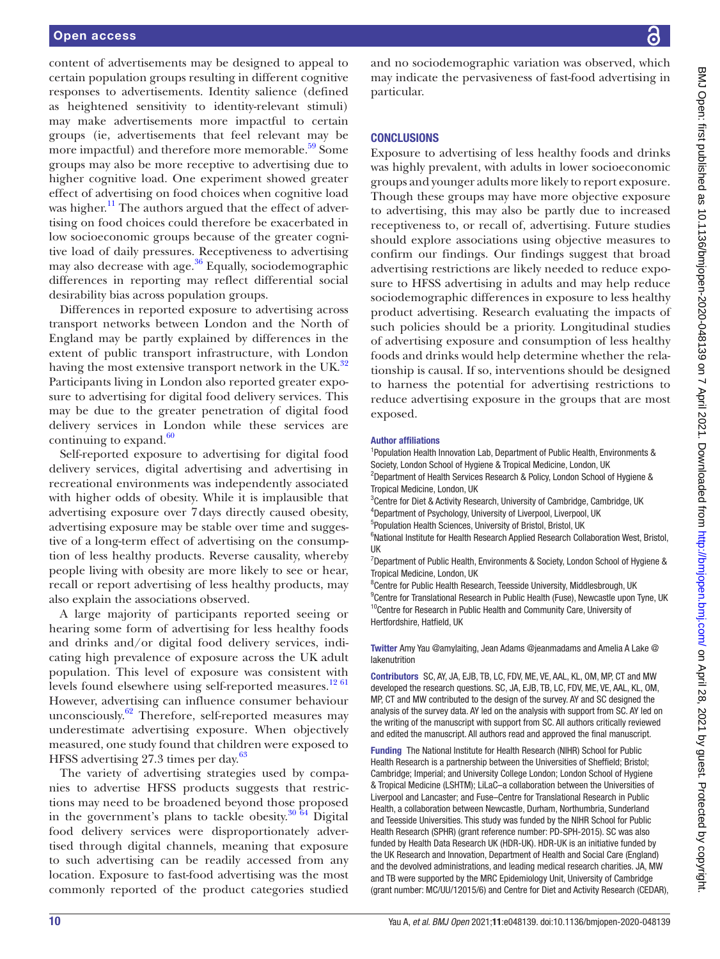content of advertisements may be designed to appeal to certain population groups resulting in different cognitive responses to advertisements. Identity salience (defined as heightened sensitivity to identity-relevant stimuli) may make advertisements more impactful to certain groups (ie, advertisements that feel relevant may be more impactful) and therefore more memorable.<sup>59</sup> Some groups may also be more receptive to advertising due to higher cognitive load. One experiment showed greater effect of advertising on food choices when cognitive load was higher.<sup>11</sup> The authors argued that the effect of advertising on food choices could therefore be exacerbated in low socioeconomic groups because of the greater cognitive load of daily pressures. Receptiveness to advertising may also decrease with age. $36$  Equally, sociodemographic differences in reporting may reflect differential social desirability bias across population groups.

Differences in reported exposure to advertising across transport networks between London and the North of England may be partly explained by differences in the extent of public transport infrastructure, with London having the most extensive transport network in the UK.<sup>32</sup> Participants living in London also reported greater exposure to advertising for digital food delivery services. This may be due to the greater penetration of digital food delivery services in London while these services are continuing to expand.<sup>[60](#page-11-21)</sup>

Self-reported exposure to advertising for digital food delivery services, digital advertising and advertising in recreational environments was independently associated with higher odds of obesity. While it is implausible that advertising exposure over 7days directly caused obesity, advertising exposure may be stable over time and suggestive of a long-term effect of advertising on the consumption of less healthy products. Reverse causality, whereby people living with obesity are more likely to see or hear, recall or report advertising of less healthy products, may also explain the associations observed.

A large majority of participants reported seeing or hearing some form of advertising for less healthy foods and drinks and/or digital food delivery services, indicating high prevalence of exposure across the UK adult population. This level of exposure was consistent with levels found elsewhere using self-reported measures.<sup>[12 61](#page-10-14)</sup> However, advertising can influence consumer behaviour unconsciously. $62$  Therefore, self-reported measures may underestimate advertising exposure. When objectively measured, one study found that children were exposed to HFSS advertising 27.3 times per day. [63](#page-11-23)

The variety of advertising strategies used by companies to advertise HFSS products suggests that restrictions may need to be broadened beyond those proposed in the government's plans to tackle obesity. $30\,64$  Digital food delivery services were disproportionately advertised through digital channels, meaning that exposure to such advertising can be readily accessed from any location. Exposure to fast-food advertising was the most commonly reported of the product categories studied

and no sociodemographic variation was observed, which may indicate the pervasiveness of fast-food advertising in particular.

#### **CONCLUSIONS**

Exposure to advertising of less healthy foods and drinks was highly prevalent, with adults in lower socioeconomic groups and younger adults more likely to report exposure. Though these groups may have more objective exposure to advertising, this may also be partly due to increased receptiveness to, or recall of, advertising. Future studies should explore associations using objective measures to confirm our findings. Our findings suggest that broad advertising restrictions are likely needed to reduce exposure to HFSS advertising in adults and may help reduce sociodemographic differences in exposure to less healthy product advertising. Research evaluating the impacts of such policies should be a priority. Longitudinal studies of advertising exposure and consumption of less healthy foods and drinks would help determine whether the relationship is causal. If so, interventions should be designed to harness the potential for advertising restrictions to reduce advertising exposure in the groups that are most exposed.

#### Author affiliations

<sup>1</sup> Population Health Innovation Lab, Department of Public Health, Environments & Society, London School of Hygiene & Tropical Medicine, London, UK <sup>2</sup>Department of Health Services Research & Policy, London School of Hygiene & Tropical Medicine, London, UK

<sup>3</sup>Centre for Diet & Activity Research, University of Cambridge, Cambridge, UK 4 Department of Psychology, University of Liverpool, Liverpool, UK

5 Population Health Sciences, University of Bristol, Bristol, UK

<sup>6</sup>National Institute for Health Research Applied Research Collaboration West, Bristol, UK

<sup>7</sup>Department of Public Health, Environments & Society, London School of Hygiene & Tropical Medicine, London, UK

<sup>8</sup> Centre for Public Health Research, Teesside University, Middlesbrough, UK <sup>9</sup> Centre for Translational Research in Public Health (Fuse), Newcastle upon Tyne, UK <sup>10</sup>Centre for Research in Public Health and Community Care, University of Hertfordshire, Hatfield, UK

Twitter Amy Yau [@amylaiting,](https://twitter.com/amylaiting) Jean Adams [@jeanmadams](https://twitter.com/jeanmadams) and Amelia A Lake [@](https://twitter.com/lakenutrition) [lakenutrition](https://twitter.com/lakenutrition)

Contributors SC, AY, JA, EJB, TB, LC, FDV, ME, VE, AAL, KL, OM, MP, CT and MW developed the research questions. SC, JA, EJB, TB, LC, FDV, ME, VE, AAL, KL, OM, MP, CT and MW contributed to the design of the survey. AY and SC designed the analysis of the survey data. AY led on the analysis with support from SC. AY led on the writing of the manuscript with support from SC. All authors critically reviewed and edited the manuscript. All authors read and approved the final manuscript.

Funding The National Institute for Health Research (NIHR) School for Public Health Research is a partnership between the Universities of Sheffield; Bristol; Cambridge; Imperial; and University College London; London School of Hygiene & Tropical Medicine (LSHTM); LiLaC–a collaboration between the Universities of Liverpool and Lancaster; and Fuse–Centre for Translational Research in Public Health, a collaboration between Newcastle, Durham, Northumbria, Sunderland and Teesside Universities. This study was funded by the NIHR School for Public Health Research (SPHR) (grant reference number: [PD-SPH-2015](https://www.sciencedirect.com/science/article/pii/S135382921930783X#gs1)). SC was also funded by Health Data Research UK (HDR-UK). HDR-UK is an initiative funded by the UK Research and Innovation, Department of Health and Social Care (England) and the devolved administrations, and leading medical research charities. JA, MW and TB were supported by the MRC Epidemiology Unit, University of Cambridge (grant number: MC/UU/12015/6) and Centre for Diet and Activity Research (CEDAR),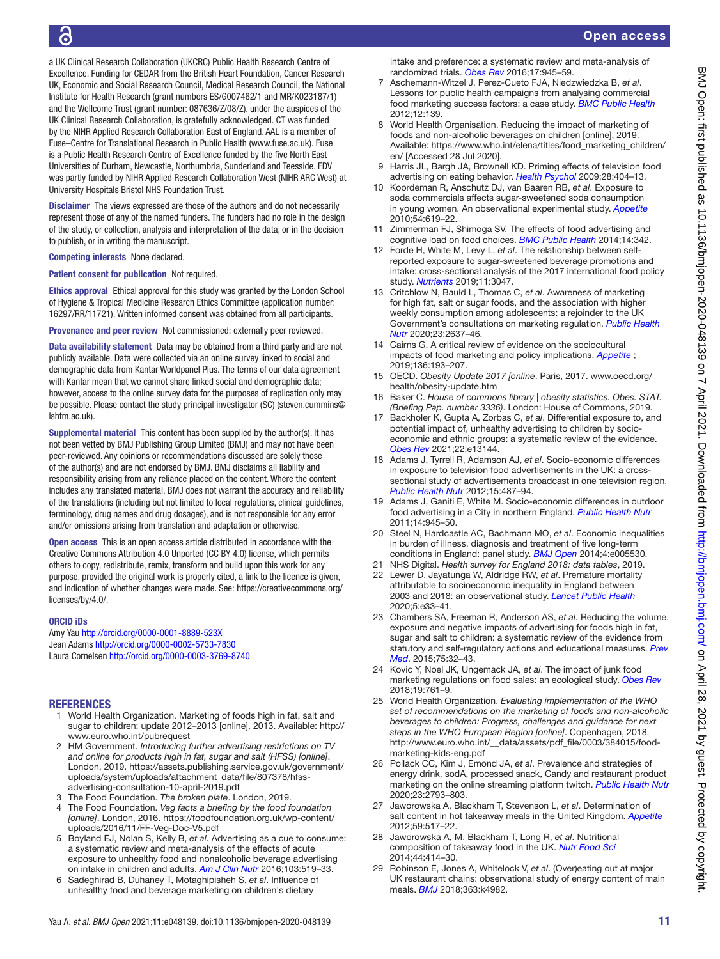a UK Clinical Research Collaboration (UKCRC) Public Health Research Centre of Excellence. Funding for CEDAR from the British Heart Foundation, Cancer Research UK, Economic and Social Research Council, Medical Research Council, the National Institute for Health Research (grant numbers ES/G007462/1 and MR/K023187/1) and the Wellcome Trust (grant number: 087636/Z/08/Z), under the auspices of the UK Clinical Research Collaboration, is gratefully acknowledged. CT was funded by the NIHR Applied Research Collaboration East of England. AAL is a member of Fuse–Centre for Translational Research in Public Health (www.fuse.ac.uk). Fuse is a Public Health Research Centre of Excellence funded by the five North East Universities of Durham, Newcastle, Northumbria, Sunderland and Teesside. FDV was partly funded by NIHR Applied Research Collaboration West (NIHR ARC West) at University Hospitals Bristol NHS Foundation Trust.

Disclaimer The views expressed are those of the authors and do not necessarily represent those of any of the named funders. The funders had no role in the design of the study, or collection, analysis and interpretation of the data, or in the decision to publish, or in writing the manuscript.

Competing interests None declared.

Patient consent for publication Not required.

Ethics approval Ethical approval for this study was granted by the London School of Hygiene & Tropical Medicine Research Ethics Committee (application number: 16297/RR/11721). Written informed consent was obtained from all participants.

Provenance and peer review Not commissioned; externally peer reviewed.

Data availability statement Data may be obtained from a third party and are not publicly available. Data were collected via an online survey linked to social and demographic data from Kantar Worldpanel Plus. The terms of our data agreement with Kantar mean that we cannot share linked social and demographic data; however, access to the online survey data for the purposes of replication only may be possible. Please contact the study principal investigator (SC) (steven.cummins@ lshtm.ac.uk).

Supplemental material This content has been supplied by the author(s). It has not been vetted by BMJ Publishing Group Limited (BMJ) and may not have been peer-reviewed. Any opinions or recommendations discussed are solely those of the author(s) and are not endorsed by BMJ. BMJ disclaims all liability and responsibility arising from any reliance placed on the content. Where the content includes any translated material, BMJ does not warrant the accuracy and reliability of the translations (including but not limited to local regulations, clinical guidelines, terminology, drug names and drug dosages), and is not responsible for any error and/or omissions arising from translation and adaptation or otherwise.

Open access This is an open access article distributed in accordance with the Creative Commons Attribution 4.0 Unported (CC BY 4.0) license, which permits others to copy, redistribute, remix, transform and build upon this work for any purpose, provided the original work is properly cited, a link to the licence is given, and indication of whether changes were made. See: [https://creativecommons.org/](https://creativecommons.org/licenses/by/4.0/) [licenses/by/4.0/.](https://creativecommons.org/licenses/by/4.0/)

#### ORCID iDs

Amy Yau <http://orcid.org/0000-0001-8889-523X> Jean Adams <http://orcid.org/0000-0002-5733-7830> Laura Cornelsen <http://orcid.org/0000-0003-3769-8740>

#### **REFERENCES**

- <span id="page-10-0"></span>1 World Health Organization. Marketing of foods high in fat, salt and sugar to children: update 2012–2013 [online], 2013. Available: [http://](http://www.euro.who.int/pubrequest) [www.euro.who.int/pubrequest](http://www.euro.who.int/pubrequest)
- 2 HM Government. *Introducing further advertising restrictions on TV and online for products high in fat, sugar and salt (HFSS) [online]*. London, 2019. [https://assets.publishing.service.gov.uk/government/](https://assets.publishing.service.gov.uk/government/uploads/system/uploads/attachment_data/file/807378/hfss-advertising-consultation-10-april-2019.pdf) [uploads/system/uploads/attachment\\_data/file/807378/hfss](https://assets.publishing.service.gov.uk/government/uploads/system/uploads/attachment_data/file/807378/hfss-advertising-consultation-10-april-2019.pdf)[advertising-consultation-10-april-2019.pdf](https://assets.publishing.service.gov.uk/government/uploads/system/uploads/attachment_data/file/807378/hfss-advertising-consultation-10-april-2019.pdf)
- <span id="page-10-1"></span>3 The Food Foundation. *The broken plate*. London, 2019.
- <span id="page-10-2"></span>4 The Food Foundation. *Veg facts a briefing by the food foundation [online]*. London, 2016. [https://foodfoundation.org.uk/wp-content/](https://foodfoundation.org.uk/wp-content/uploads/2016/11/FF-Veg-Doc-V5.pdf) [uploads/2016/11/FF-Veg-Doc-V5.pdf](https://foodfoundation.org.uk/wp-content/uploads/2016/11/FF-Veg-Doc-V5.pdf)
- <span id="page-10-3"></span>5 Boyland EJ, Nolan S, Kelly B, *et al*. Advertising as a cue to consume: a systematic review and meta-analysis of the effects of acute exposure to unhealthy food and nonalcoholic beverage advertising on intake in children and adults. *[Am J Clin Nutr](http://dx.doi.org/10.3945/ajcn.115.120022)* 2016;103:519–33.
- 6 Sadeghirad B, Duhaney T, Motaghipisheh S, *et al*. Influence of unhealthy food and beverage marketing on children's dietary
- 7 Aschemann-Witzel J, Perez-Cueto FJA, Niedzwiedzka B, *et al*. Lessons for public health campaigns from analysing commercial food marketing success factors: a case study. *[BMC Public Health](http://dx.doi.org/10.1186/1471-2458-12-139)* 2012;12:139.
- <span id="page-10-9"></span>8 World Health Organisation. Reducing the impact of marketing of foods and non-alcoholic beverages on children [online], 2019. Available: [https://www.who.int/elena/titles/food\\_marketing\\_children/](https://www.who.int/elena/titles/food_marketing_children/en/) [en/](https://www.who.int/elena/titles/food_marketing_children/en/) [Accessed 28 Jul 2020].
- <span id="page-10-4"></span>9 Harris JL, Bargh JA, Brownell KD. Priming effects of television food advertising on eating behavior. *[Health Psychol](http://dx.doi.org/10.1037/a0014399)* 2009;28:404–13.
- 10 Koordeman R, Anschutz DJ, van Baaren RB, *et al*. Exposure to soda commercials affects sugar-sweetened soda consumption in young women. An observational experimental study. *[Appetite](http://dx.doi.org/10.1016/j.appet.2010.03.008)* 2010;54:619–22.
- <span id="page-10-16"></span>11 Zimmerman FJ, Shimoga SV. The effects of food advertising and cognitive load on food choices. *[BMC Public Health](http://dx.doi.org/10.1186/1471-2458-14-342)* 2014;14:342.
- <span id="page-10-14"></span>12 Forde H, White M, Levy L, *et al*. The relationship between selfreported exposure to sugar-sweetened beverage promotions and intake: cross-sectional analysis of the 2017 international food policy study. *[Nutrients](http://dx.doi.org/10.3390/nu11123047)* 2019;11:3047.
- 13 Critchlow N, Bauld L, Thomas C, *et al*. Awareness of marketing for high fat, salt or sugar foods, and the association with higher weekly consumption among adolescents: a rejoinder to the UK Government's consultations on marketing regulation. *[Public Health](http://dx.doi.org/10.1017/S1368980020000075)  [Nutr](http://dx.doi.org/10.1017/S1368980020000075)* 2020;23:2637–46.
- 14 Cairns G. A critical review of evidence on the sociocultural impacts of food marketing and policy implications. *[Appetite](http://dx.doi.org/10.1016/j.appet.2019.02.002)* ; 2019;136:193–207.
- <span id="page-10-5"></span>15 OECD. *Obesity Update 2017 [online*. Paris, 2017. [www.oecd.org/](www.oecd.org/health/obesity-update.htm) [health/obesity-update.htm](www.oecd.org/health/obesity-update.htm)
- 16 Baker C. *House of commons library | obesity statistics. Obes. STAT. (Briefing Pap. number 3336)*. London: House of Commons, 2019.
- <span id="page-10-6"></span>17 Backholer K, Gupta A, Zorbas C, *et al*. Differential exposure to, and potential impact of, unhealthy advertising to children by socioeconomic and ethnic groups: a systematic review of the evidence. *[Obes Rev](http://dx.doi.org/10.1111/obr.13144)* 2021;22:e13144.
- <span id="page-10-7"></span>18 Adams J, Tyrrell R, Adamson AJ, *et al*. Socio-economic differences in exposure to television food advertisements in the UK: a crosssectional study of advertisements broadcast in one television region. *[Public Health Nutr](http://dx.doi.org/10.1017/S1368980011001686)* 2012;15:487–94.
- <span id="page-10-15"></span>19 Adams J, Ganiti E, White M. Socio-economic differences in outdoor food advertising in a City in northern England. *[Public Health Nutr](http://dx.doi.org/10.1017/S1368980010003332)* 2011;14:945–50.
- <span id="page-10-8"></span>20 Steel N, Hardcastle AC, Bachmann MO, *et al*. Economic inequalities in burden of illness, diagnosis and treatment of five long-term conditions in England: panel study. *[BMJ Open](http://dx.doi.org/10.1136/bmjopen-2014-005530)* 2014;4:e005530.
- <span id="page-10-13"></span>21 NHS Digital. *Health survey for England 2018: data tables*, 2019.
- 22 Lewer D, Jayatunga W, Aldridge RW, *et al*. Premature mortality attributable to socioeconomic inequality in England between 2003 and 2018: an observational study. *[Lancet Public Health](http://dx.doi.org/10.1016/S2468-2667(19)30219-1)* 2020;5:e33–41.
- <span id="page-10-10"></span>23 Chambers SA, Freeman R, Anderson AS, *et al*. Reducing the volume, exposure and negative impacts of advertising for foods high in fat, sugar and salt to children: a systematic review of the evidence from statutory and self-regulatory actions and educational measures. *[Prev](http://dx.doi.org/10.1016/j.ypmed.2015.02.011)  [Med](http://dx.doi.org/10.1016/j.ypmed.2015.02.011)*. 2015;75:32–43.
- 24 Kovic Y, Noel JK, Ungemack JA, *et al*. The impact of junk food marketing regulations on food sales: an ecological study. *[Obes Rev](http://dx.doi.org/10.1111/obr.12678)* 2018;19:761–9.
- 25 World Health Organization. *Evaluating implementation of the WHO set of recommendations on the marketing of foods and non-alcoholic beverages to children: Progress, challenges and guidance for next steps in the WHO European Region [online]*. Copenhagen, 2018. [http://www.euro.who.int/\\_\\_data/assets/pdf\\_file/0003/384015/food](http://www.euro.who.int/__data/assets/pdf_file/0003/384015/food-marketing-kids-eng.pdf)[marketing-kids-eng.pdf](http://www.euro.who.int/__data/assets/pdf_file/0003/384015/food-marketing-kids-eng.pdf)
- <span id="page-10-11"></span>26 Pollack CC, Kim J, Emond JA, *et al*. Prevalence and strategies of energy drink, sodA, processed snack, Candy and restaurant product marketing on the online streaming platform twitch. *[Public Health Nutr](http://dx.doi.org/10.1017/S1368980020002128)* 2020;23:2793–803.
- <span id="page-10-12"></span>27 Jaworowska A, Blackham T, Stevenson L, *et al*. Determination of salt content in hot takeaway meals in the United Kingdom. *[Appetite](http://dx.doi.org/10.1016/j.appet.2012.06.018)* 2012;59:517–22.
- 28 Jaworowska A, M. Blackham T, Long R, *et al*. Nutritional composition of takeaway food in the UK. *[Nutr Food Sci](http://dx.doi.org/10.1108/NFS-08-2013-0093)* 2014;44:414–30.
- 29 Robinson E, Jones A, Whitelock V, *et al*. (Over)eating out at major UK restaurant chains: observational study of energy content of main meals. *[BMJ](http://dx.doi.org/10.1136/bmj.k4982)* 2018;363:k4982.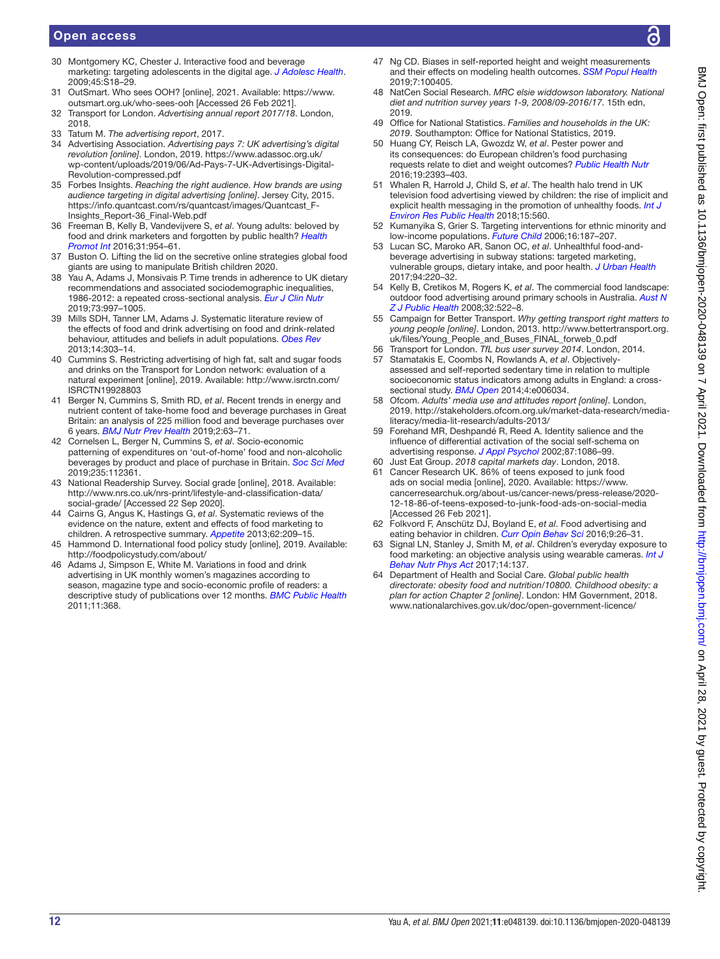### Open access

- <span id="page-11-0"></span>30 Montgomery KC, Chester J. Interactive food and beverage marketing: targeting adolescents in the digital age. *[J Adolesc Health](http://dx.doi.org/10.1016/j.jadohealth.2009.04.006)*. 2009;45:S18–29.
- <span id="page-11-1"></span>31 OutSmart. Who sees OOH? [online], 2021. Available: [https://www.](https://www.outsmart.org.uk/who-sees-ooh) [outsmart.org.uk/who-sees-ooh](https://www.outsmart.org.uk/who-sees-ooh) [Accessed 26 Feb 2021].
- <span id="page-11-2"></span>32 Transport for London. *Advertising annual report 2017/18*. London, 2018.
- <span id="page-11-3"></span>33 Tatum M. *The advertising report*, 2017.
- 34 Advertising Association. *Advertising pays 7: UK advertising's digital revolution [online]*. London, 2019. [https://www.adassoc.org.uk/](https://www.adassoc.org.uk/wp-content/uploads/2019/06/Ad-Pays-7-UK-Advertisings-Digital-Revolution-compressed.pdf) [wp-content/uploads/2019/06/Ad-Pays-7-UK-Advertisings-Digital-](https://www.adassoc.org.uk/wp-content/uploads/2019/06/Ad-Pays-7-UK-Advertisings-Digital-Revolution-compressed.pdf)[Revolution-compressed.pdf](https://www.adassoc.org.uk/wp-content/uploads/2019/06/Ad-Pays-7-UK-Advertisings-Digital-Revolution-compressed.pdf)
- <span id="page-11-4"></span>35 Forbes Insights. *Reaching the right audience. How brands are using audience targeting in digital advertising [online]*. Jersey City, 2015. [https://info.quantcast.com/rs/quantcast/images/Quantcast\\_F-](https://info.quantcast.com/rs/quantcast/images/Quantcast_F-Insights_Report-36_Final-Web.pdf)[Insights\\_Report-36\\_Final-Web.pdf](https://info.quantcast.com/rs/quantcast/images/Quantcast_F-Insights_Report-36_Final-Web.pdf)
- <span id="page-11-20"></span>36 Freeman B, Kelly B, Vandevijvere S, *et al*. Young adults: beloved by food and drink marketers and forgotten by public health? *[Health](http://dx.doi.org/10.1093/heapro/dav081)  [Promot Int](http://dx.doi.org/10.1093/heapro/dav081)* 2016;31:954–61.
- 37 Buston O. Lifting the lid on the secretive online strategies global food giants are using to manipulate British children 2020.
- 38 Yau A, Adams J, Monsivais P. Time trends in adherence to UK dietary recommendations and associated sociodemographic inequalities, 1986-2012: a repeated cross-sectional analysis. *[Eur J Clin Nutr](http://dx.doi.org/10.1038/s41430-018-0347-z)* 2019;73:997–1005.
- <span id="page-11-5"></span>39 Mills SDH, Tanner LM, Adams J. Systematic literature review of the effects of food and drink advertising on food and drink-related behaviour, attitudes and beliefs in adult populations. *[Obes Rev](http://dx.doi.org/10.1111/obr.12012)* 2013;14:303–14.
- 40 Cummins S. Restricting advertising of high fat, salt and sugar foods and drinks on the Transport for London network: evaluation of a natural experiment [online], 2019. Available: [http://www.isrctn.com/](http://www.isrctn.com/ISRCTN19928803) [ISRCTN19928803](http://www.isrctn.com/ISRCTN19928803)
- <span id="page-11-6"></span>41 Berger N, Cummins S, Smith RD, *et al*. Recent trends in energy and nutrient content of take-home food and beverage purchases in Great Britain: an analysis of 225 million food and beverage purchases over 6 years. *[BMJ Nutr Prev Health](http://dx.doi.org/10.1136/bmjnph-2019-000036)* 2019;2:63–71.
- <span id="page-11-7"></span>42 Cornelsen L, Berger N, Cummins S, *et al*. Socio-economic patterning of expenditures on 'out-of-home' food and non-alcoholic beverages by product and place of purchase in Britain. *[Soc Sci Med](http://dx.doi.org/10.1016/j.socscimed.2019.112361)* 2019;235:112361.
- <span id="page-11-8"></span>43 National Readership Survey. Social grade [online], 2018. Available: [http://www.nrs.co.uk/nrs-print/lifestyle-and-classification-data/](http://www.nrs.co.uk/nrs-print/lifestyle-and-classification-data/social-grade/) [social-grade/](http://www.nrs.co.uk/nrs-print/lifestyle-and-classification-data/social-grade/) [Accessed 22 Sep 2020].
- <span id="page-11-9"></span>44 Cairns G, Angus K, Hastings G, *et al*. Systematic reviews of the evidence on the nature, extent and effects of food marketing to children. A retrospective summary. *[Appetite](http://dx.doi.org/10.1016/j.appet.2012.04.017)* 2013;62:209–15.
- <span id="page-11-10"></span>45 Hammond D. International food policy study [online], 2019. Available: <http://foodpolicystudy.com/about/>
- <span id="page-11-11"></span>46 Adams J, Simpson E, White M. Variations in food and drink advertising in UK monthly women's magazines according to season, magazine type and socio-economic profile of readers: a descriptive study of publications over 12 months. *[BMC Public Health](http://dx.doi.org/10.1186/1471-2458-11-368)* 2011;11:368.
- <span id="page-11-12"></span>Ng CD. Biases in self-reported height and weight measurements and their effects on modeling health outcomes. *[SSM Popul Health](http://dx.doi.org/10.1016/j.ssmph.2019.100405)* 2019;7:100405.
- <span id="page-11-13"></span>48 NatCen Social Research. *MRC elsie widdowson laboratory. National diet and nutrition survey years 1-9, 2008/09-2016/17*. 15th edn, 2019.
- <span id="page-11-14"></span>49 Office for National Statistics. *Families and households in the UK: 2019*. Southampton: Office for National Statistics, 2019.
- <span id="page-11-15"></span>50 Huang CY, Reisch LA, Gwozdz W, *et al*. Pester power and its consequences: do European children's food purchasing requests relate to diet and weight outcomes? *[Public Health Nutr](http://dx.doi.org/10.1017/S136898001600135X)* 2016;19:2393–403.
- 51 Whalen R, Harrold J, Child S, *et al*. The health halo trend in UK television food advertising viewed by children: the rise of implicit and explicit health messaging in the promotion of unhealthy foods. *[Int J](http://dx.doi.org/10.3390/ijerph15030560)  [Environ Res Public Health](http://dx.doi.org/10.3390/ijerph15030560)* 2018;15:560.
- 52 Kumanyika S, Grier S. Targeting interventions for ethnic minority and low-income populations. *[Future Child](http://dx.doi.org/10.1353/foc.2006.0005)* 2006;16:187–207.
- 53 Lucan SC, Maroko AR, Sanon OC, *et al*. Unhealthful food-andbeverage advertising in subway stations: targeted marketing, vulnerable groups, dietary intake, and poor health. *[J Urban Health](http://dx.doi.org/10.1007/s11524-016-0127-9)* 2017;94:220–32.
- <span id="page-11-16"></span>54 Kelly B, Cretikos M, Rogers K, *et al*. The commercial food landscape: outdoor food advertising around primary schools in Australia. *[Aust N](http://dx.doi.org/10.1111/j.1753-6405.2008.00303.x)  [Z J Public Health](http://dx.doi.org/10.1111/j.1753-6405.2008.00303.x)* 2008;32:522–8.
- <span id="page-11-17"></span>55 Campaign for Better Transport. *Why getting transport right matters to young people [online]*. London, 2013. [http://www.bettertransport.org.](http://www.bettertransport.org.uk/files/Young_People_and_Buses_FINAL_forweb_0.pdf) [uk/files/Young\\_People\\_and\\_Buses\\_FINAL\\_forweb\\_0.pdf](http://www.bettertransport.org.uk/files/Young_People_and_Buses_FINAL_forweb_0.pdf)
- 56 Transport for London. *TfL bus user survey 2014*. London, 2014. 57 Stamatakis E, Coombs N, Rowlands A, *et al*. Objectively-
- <span id="page-11-18"></span>assessed and self-reported sedentary time in relation to multiple socioeconomic status indicators among adults in England: a crosssectional study. *[BMJ Open](http://dx.doi.org/10.1136/bmjopen-2014-006034)* 2014;4:e006034.
- 58 Ofcom. *Adults' media use and attitudes report [online]*. London, 2019. [http://stakeholders.ofcom.org.uk/market-data-research/media](http://stakeholders.ofcom.org.uk/market-data-research/media-literacy/media-lit-research/adults-2013/)[literacy/media-lit-research/adults-2013/](http://stakeholders.ofcom.org.uk/market-data-research/media-literacy/media-lit-research/adults-2013/)
- <span id="page-11-19"></span>59 Forehand MR, Deshpandé R, Reed A. Identity salience and the influence of differential activation of the social self-schema on advertising response. *[J Appl Psychol](http://dx.doi.org/10.1037/0021-9010.87.6.1086)* 2002;87:1086–99.
- <span id="page-11-21"></span>60 Just Eat Group. *2018 capital markets day*. London, 2018.
- 61 Cancer Research UK. 86% of teens exposed to junk food ads on social media [online], 2020. Available: [https://www.](https://www.cancerresearchuk.org/about-us/cancer-news/press-release/2020-12-18-86-of-teens-exposed-to-junk-food-ads-on-social-media) [cancerresearchuk.org/about-us/cancer-news/press-release/2020-](https://www.cancerresearchuk.org/about-us/cancer-news/press-release/2020-12-18-86-of-teens-exposed-to-junk-food-ads-on-social-media) [12-18-86-of-teens-exposed-to-junk-food-ads-on-social-media](https://www.cancerresearchuk.org/about-us/cancer-news/press-release/2020-12-18-86-of-teens-exposed-to-junk-food-ads-on-social-media) [Accessed 26 Feb 2021].
- <span id="page-11-22"></span>62 Folkvord F, Anschütz DJ, Boyland E, *et al*. Food advertising and eating behavior in children. *[Curr Opin Behav Sci](http://dx.doi.org/10.1016/j.cobeha.2015.11.016)* 2016;9:26–31.
- <span id="page-11-23"></span>63 Signal LN, Stanley J, Smith M, *et al*. Children's everyday exposure to food marketing: an objective analysis using wearable cameras. *[Int J](http://dx.doi.org/10.1186/s12966-017-0570-3)  [Behav Nutr Phys Act](http://dx.doi.org/10.1186/s12966-017-0570-3)* 2017;14:137.
- 64 Department of Health and Social Care. *Global public health directorate: obesity food and nutrition/10800. Childhood obesity: a plan for action Chapter 2 [online]*. London: HM Government, 2018. <www.nationalarchives.gov.uk/doc/open-government-licence/>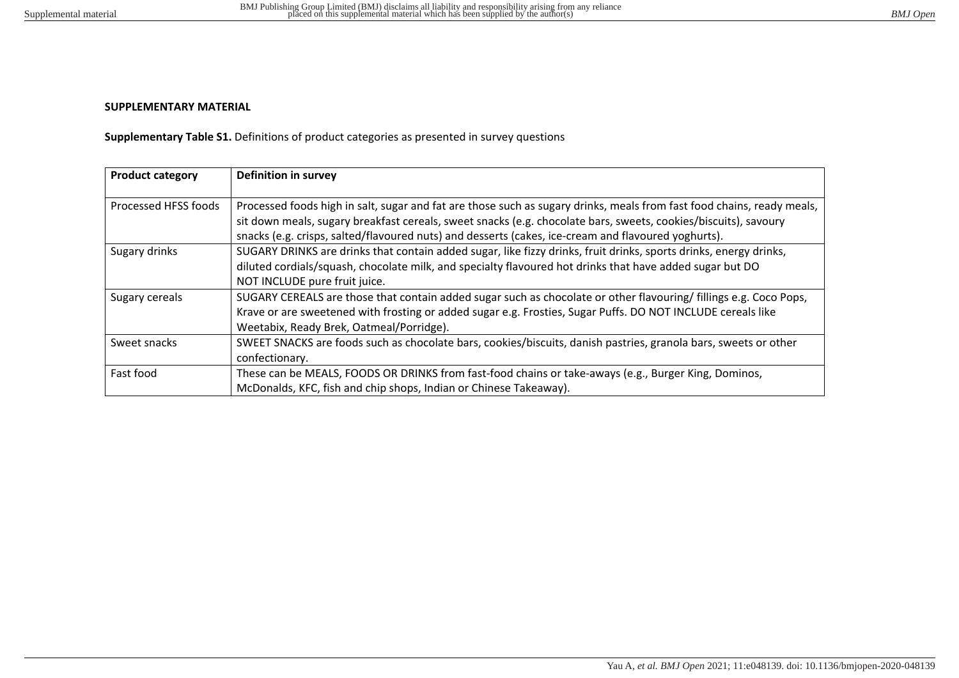## **SUPPLEMENTARY MATERIAL**

**Supplementary Table S1.** Definitions of product categories as presented in survey questions

| <b>Product category</b> | Definition in survey                                                                                                                                                                                                                                                         |
|-------------------------|------------------------------------------------------------------------------------------------------------------------------------------------------------------------------------------------------------------------------------------------------------------------------|
| Processed HFSS foods    | Processed foods high in salt, sugar and fat are those such as sugary drinks, meals from fast food chains, ready meals,<br>sit down meals, sugary breakfast cereals, sweet snacks (e.g. chocolate bars, sweets, cookies/biscuits), savoury                                    |
| Sugary drinks           | snacks (e.g. crisps, salted/flavoured nuts) and desserts (cakes, ice-cream and flavoured yoghurts).<br>SUGARY DRINKS are drinks that contain added sugar, like fizzy drinks, fruit drinks, sports drinks, energy drinks,                                                     |
|                         | diluted cordials/squash, chocolate milk, and specialty flavoured hot drinks that have added sugar but DO<br>NOT INCLUDE pure fruit juice.                                                                                                                                    |
| Sugary cereals          | SUGARY CEREALS are those that contain added sugar such as chocolate or other flavouring/ fillings e.g. Coco Pops,<br>Krave or are sweetened with frosting or added sugar e.g. Frosties, Sugar Puffs. DO NOT INCLUDE cereals like<br>Weetabix, Ready Brek, Oatmeal/Porridge). |
| Sweet snacks            | SWEET SNACKS are foods such as chocolate bars, cookies/biscuits, danish pastries, granola bars, sweets or other<br>confectionary.                                                                                                                                            |
| Fast food               | These can be MEALS, FOODS OR DRINKS from fast-food chains or take-aways (e.g., Burger King, Dominos,<br>McDonalds, KFC, fish and chip shops, Indian or Chinese Takeaway).                                                                                                    |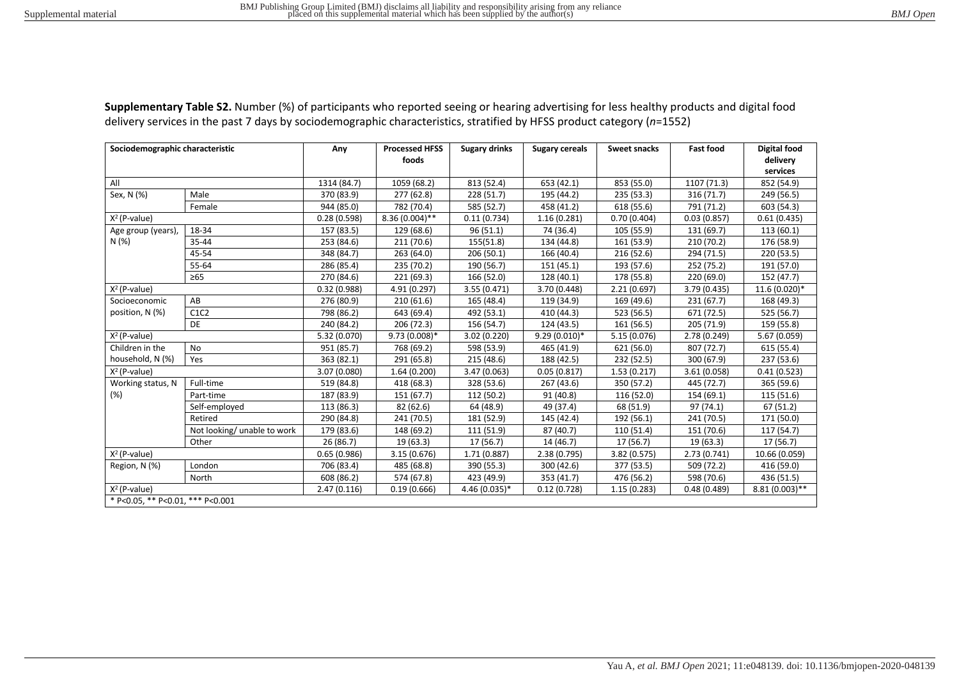| Sociodemographic characteristic  |                             | Any          | <b>Processed HFSS</b> | <b>Sugary drinks</b> | <b>Sugary cereals</b> | <b>Sweet snacks</b> | <b>Fast food</b> | <b>Digital food</b>  |
|----------------------------------|-----------------------------|--------------|-----------------------|----------------------|-----------------------|---------------------|------------------|----------------------|
|                                  |                             |              | foods                 |                      |                       |                     |                  | delivery<br>services |
| All                              |                             | 1314 (84.7)  | 1059 (68.2)           | 813 (52.4)           | 653 (42.1)            | 853 (55.0)          | 1107 (71.3)      | 852 (54.9)           |
| Sex, N (%)                       | Male                        | 370 (83.9)   | 277 (62.8)            | 228 (51.7)           | 195 (44.2)            | 235 (53.3)          | 316 (71.7)       | 249 (56.5)           |
|                                  | Female                      | 944 (85.0)   | 782 (70.4)            | 585 (52.7)           | 458 (41.2)            | 618 (55.6)          | 791 (71.2)       | 603 (54.3)           |
| $X^2$ (P-value)                  |                             | 0.28(0.598)  | 8.36 (0.004)**        | 0.11(0.734)          | 1.16(0.281)           | 0.70(0.404)         | 0.03(0.857)      | 0.61(0.435)          |
| Age group (years),               | 18-34                       | 157 (83.5)   | 129 (68.6)            | 96(51.1)             | 74 (36.4)             | 105 (55.9)          | 131 (69.7)       | 113(60.1)            |
| N(%)                             | 35-44                       | 253 (84.6)   | 211 (70.6)            | 155(51.8)            | 134 (44.8)            | 161 (53.9)          | 210 (70.2)       | 176 (58.9)           |
|                                  | 45-54                       | 348 (84.7)   | 263 (64.0)            | 206 (50.1)           | 166 (40.4)            | 216 (52.6)          | 294 (71.5)       | 220 (53.5)           |
|                                  | 55-64                       | 286 (85.4)   | 235 (70.2)            | 190 (56.7)           | 151 (45.1)            | 193 (57.6)          | 252 (75.2)       | 191 (57.0)           |
|                                  | $\geq 65$                   | 270 (84.6)   | 221 (69.3)            | 166 (52.0)           | 128 (40.1)            | 178 (55.8)          | 220 (69.0)       | 152 (47.7)           |
| $X^2$ (P-value)                  |                             | 0.32(0.988)  | 4.91 (0.297)          | 3.55 (0.471)         | 3.70 (0.448)          | 2.21(0.697)         | 3.79 (0.435)     | 11.6 (0.020)*        |
| Socioeconomic                    | AB                          | 276 (80.9)   | 210(61.6)             | 165 (48.4)           | 119 (34.9)            | 169 (49.6)          | 231(67.7)        | 168 (49.3)           |
| position, N (%)                  | C1C2                        | 798 (86.2)   | 643 (69.4)            | 492 (53.1)           | 410 (44.3)            | 523 (56.5)          | 671 (72.5)       | 525 (56.7)           |
|                                  | DE                          | 240 (84.2)   | 206 (72.3)            | 156 (54.7)           | 124 (43.5)            | 161 (56.5)          | 205 (71.9)       | 159 (55.8)           |
| $X^2$ (P-value)                  |                             | 5.32 (0.070) | $9.73(0.008)*$        | 3.02 (0.220)         | $9.29(0.010)*$        | 5.15 (0.076)        | 2.78 (0.249)     | 5.67 (0.059)         |
| Children in the                  | No                          | 951 (85.7)   | 768 (69.2)            | 598 (53.9)           | 465 (41.9)            | 621 (56.0)          | 807 (72.7)       | 615 (55.4)           |
| household, N (%)                 | Yes                         | 363 (82.1)   | 291 (65.8)            | 215 (48.6)           | 188 (42.5)            | 232 (52.5)          | 300 (67.9)       | 237 (53.6)           |
| $X2$ (P-value)                   |                             | 3.07 (0.080) | 1.64(0.200)           | 3.47 (0.063)         | 0.05(0.817)           | 1.53(0.217)         | 3.61(0.058)      | 0.41(0.523)          |
| Working status, N                | Full-time                   | 519 (84.8)   | 418 (68.3)            | 328 (53.6)           | 267 (43.6)            | 350 (57.2)          | 445 (72.7)       | 365 (59.6)           |
| (%)                              | Part-time                   | 187 (83.9)   | 151 (67.7)            | 112 (50.2)           | 91 (40.8)             | 116 (52.0)          | 154 (69.1)       | 115 (51.6)           |
|                                  | Self-employed               | 113 (86.3)   | 82 (62.6)             | 64 (48.9)            | 49 (37.4)             | 68 (51.9)           | 97 (74.1)        | 67 (51.2)            |
|                                  | Retired                     | 290 (84.8)   | 241 (70.5)            | 181 (52.9)           | 145 (42.4)            | 192 (56.1)          | 241 (70.5)       | 171 (50.0)           |
|                                  | Not looking/ unable to work | 179 (83.6)   | 148 (69.2)            | 111 (51.9)           | 87 (40.7)             | 110 (51.4)          | 151 (70.6)       | 117 (54.7)           |
|                                  | Other                       | 26(86.7)     | 19 (63.3)             | 17 (56.7)            | 14 (46.7)             | 17 (56.7)           | 19 (63.3)        | 17 (56.7)            |
| $X^2$ (P-value)                  |                             | 0.65(0.986)  | 3.15 (0.676)          | 1.71 (0.887)         | 2.38 (0.795)          | 3.82 (0.575)        | 2.73(0.741)      | 10.66 (0.059)        |
| Region, N (%)                    | London                      | 706 (83.4)   | 485 (68.8)            | 390 (55.3)           | 300 (42.6)            | 377 (53.5)          | 509 (72.2)       | 416 (59.0)           |
|                                  | North                       | 608 (86.2)   | 574 (67.8)            | 423 (49.9)           | 353 (41.7)            | 476 (56.2)          | 598 (70.6)       | 436 (51.5)           |
| $X^2$ (P-value)                  |                             | 2.47(0.116)  | 0.19(0.666)           | 4.46 (0.035)*        | 0.12(0.728)           | 1.15(0.283)         | 0.48(0.489)      | $8.81(0.003)$ **     |
| * P<0.05, ** P<0.01, *** P<0.001 |                             |              |                       |                      |                       |                     |                  |                      |

**Supplementary Table S2.** Number (%) of participants who reported seeing or hearing advertising for less healthy products and digital food delivery services in the past 7 days by sociodemographic characteristics, stratified by HFSS product category (*n*=1552)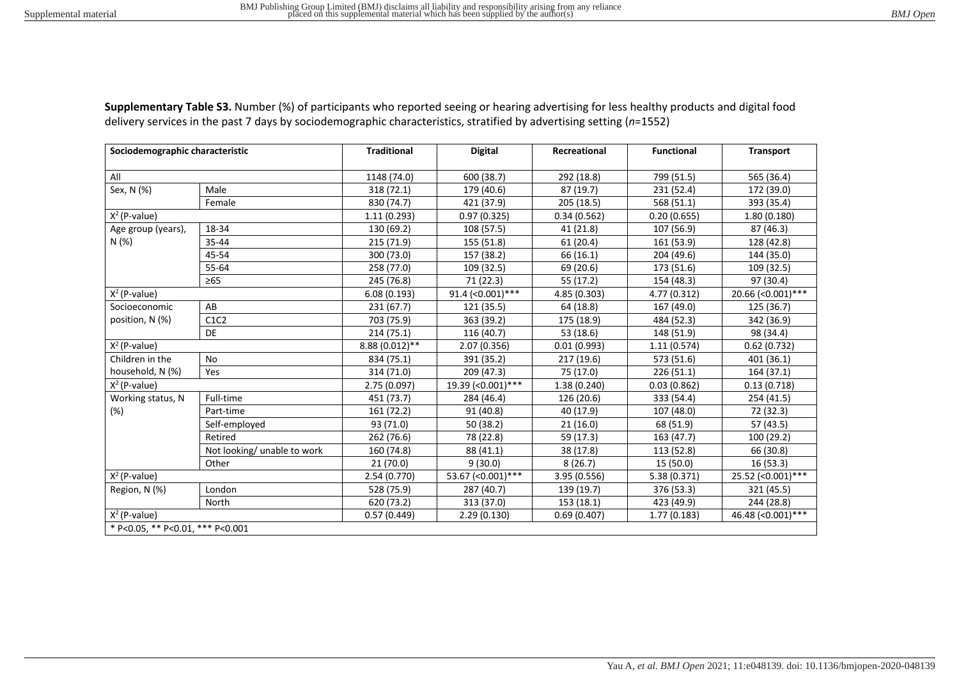| Sociodemographic characteristic  |                             | <b>Traditional</b> | <b>Digital</b>      | Recreational | <b>Functional</b> | <b>Transport</b>    |
|----------------------------------|-----------------------------|--------------------|---------------------|--------------|-------------------|---------------------|
| All                              |                             | 1148 (74.0)        | 600 (38.7)          | 292 (18.8)   | 799 (51.5)        | 565 (36.4)          |
|                                  | Male                        |                    |                     |              |                   |                     |
| Sex, N (%)                       |                             | 318 (72.1)         | 179 (40.6)          | 87 (19.7)    | 231 (52.4)        | 172 (39.0)          |
|                                  | Female                      | 830 (74.7)         | 421 (37.9)          | 205 (18.5)   | 568 (51.1)        | 393 (35.4)          |
| $X^2$ (P-value)                  |                             | 1.11(0.293)        | 0.97(0.325)         | 0.34(0.562)  | 0.20(0.655)       | 1.80 (0.180)        |
| Age group (years),               | 18-34                       | 130 (69.2)         | 108 (57.5)          | 41 (21.8)    | 107 (56.9)        | 87 (46.3)           |
| N(%)                             | 35-44                       | 215 (71.9)         | 155 (51.8)          | 61(20.4)     | 161 (53.9)        | 128 (42.8)          |
|                                  | 45-54                       | 300 (73.0)         | 157 (38.2)          | 66 (16.1)    | 204 (49.6)        | 144 (35.0)          |
|                                  | 55-64                       | 258 (77.0)         | 109 (32.5)          | 69 (20.6)    | 173 (51.6)        | 109 (32.5)          |
|                                  | $\geq 65$                   | 245 (76.8)         | 71 (22.3)           | 55 (17.2)    | 154 (48.3)        | 97 (30.4)           |
| $X^2$ (P-value)                  |                             | 6.08(0.193)        | 91.4 $(<0.001)$ *** | 4.85 (0.303) | 4.77 (0.312)      | 20.66 (< 0.001) *** |
| Socioeconomic                    | AB                          | 231(67.7)          | 121 (35.5)          | 64 (18.8)    | 167 (49.0)        | 125 (36.7)          |
| position, N (%)                  | C1C2                        | 703 (75.9)         | 363 (39.2)          | 175 (18.9)   | 484 (52.3)        | 342 (36.9)          |
|                                  | <b>DE</b>                   | 214(75.1)          | 116 (40.7)          | 53 (18.6)    | 148 (51.9)        | 98 (34.4)           |
| $X^2$ (P-value)                  |                             | 8.88 (0.012)**     | 2.07(0.356)         | 0.01(0.993)  | 1.11(0.574)       | 0.62(0.732)         |
| Children in the                  | No                          | 834 (75.1)         | 391 (35.2)          | 217 (19.6)   | 573 (51.6)        | 401 (36.1)          |
| household, N (%)                 | Yes                         | 314 (71.0)         | 209 (47.3)          | 75 (17.0)    | 226(51.1)         | 164 (37.1)          |
| $X^2$ (P-value)                  |                             | 2.75 (0.097)       | 19.39 (< 0.001) *** | 1.38(0.240)  | 0.03(0.862)       | 0.13(0.718)         |
| Working status, N                | Full-time                   | 451 (73.7)         | 284 (46.4)          | 126 (20.6)   | 333 (54.4)        | 254 (41.5)          |
| (%)                              | Part-time                   | 161 (72.2)         | 91 (40.8)           | 40 (17.9)    | 107 (48.0)        | 72 (32.3)           |
|                                  | Self-employed               | 93 (71.0)          | 50 (38.2)           | 21(16.0)     | 68 (51.9)         | 57 (43.5)           |
|                                  | Retired                     | 262 (76.6)         | 78 (22.8)           | 59 (17.3)    | 163 (47.7)        | 100 (29.2)          |
|                                  | Not looking/ unable to work | 160 (74.8)         | 88 (41.1)           | 38 (17.8)    | 113 (52.8)        | 66 (30.8)           |
|                                  | Other                       | 21(70.0)           | 9(30.0)             | 8(26.7)      | 15 (50.0)         | 16(53.3)            |
| $X^2$ (P-value)                  |                             | 2.54 (0.770)       | 53.67 (< 0.001) *** | 3.95 (0.556) | 5.38 (0.371)      | 25.52 (< 0.001) *** |
| Region, N (%)                    | London                      | 528 (75.9)         | 287 (40.7)          | 139 (19.7)   | 376 (53.3)        | 321 (45.5)          |
|                                  | North                       | 620 (73.2)         | 313 (37.0)          | 153 (18.1)   | 423 (49.9)        | 244 (28.8)          |
| $X^2$ (P-value)                  |                             | 0.57(0.449)        | 2.29(0.130)         | 0.69(0.407)  | 1.77(0.183)       | 46.48 (< 0.001) *** |
| * P<0.05, ** P<0.01, *** P<0.001 |                             |                    |                     |              |                   |                     |

**Supplementary Table S3.** Number (%) of participants who reported seeing or hearing advertising for less healthy products and digital food delivery services in the past 7 days by sociodemographic characteristics, stratified by advertising setting (*n*=1552)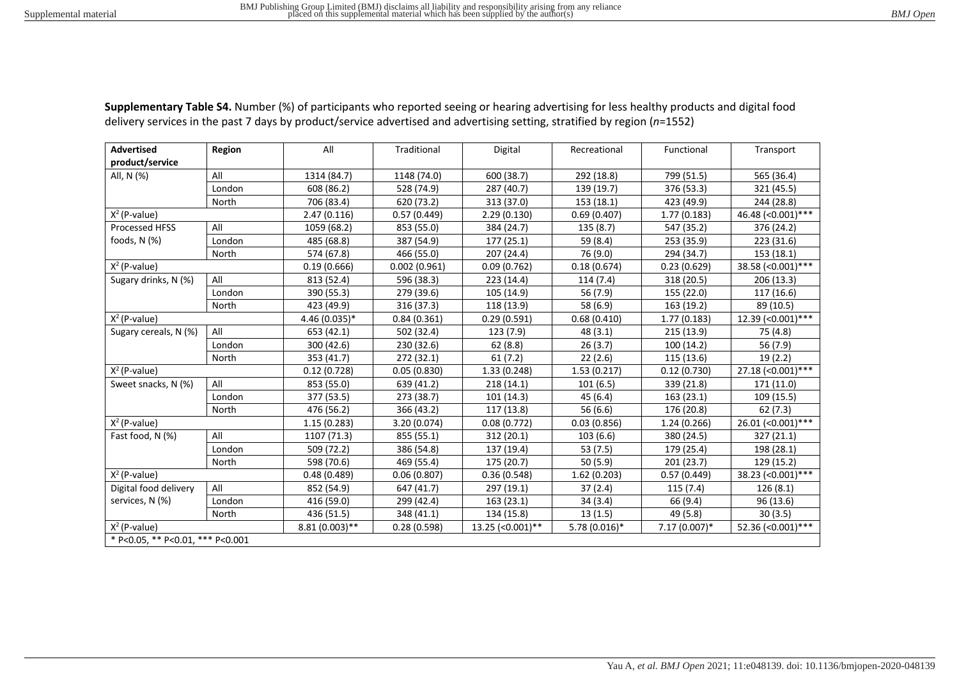| <b>Advertised</b>                | Region | All              | Traditional  | Digital            | Recreational   | Functional     | Transport           |
|----------------------------------|--------|------------------|--------------|--------------------|----------------|----------------|---------------------|
| product/service                  |        |                  |              |                    |                |                |                     |
| All, N (%)                       | All    | 1314 (84.7)      | 1148 (74.0)  | 600 (38.7)         | 292 (18.8)     | 799 (51.5)     | 565 (36.4)          |
|                                  | London | 608 (86.2)       | 528 (74.9)   | 287 (40.7)         | 139 (19.7)     | 376 (53.3)     | 321 (45.5)          |
|                                  |        |                  |              |                    |                |                |                     |
|                                  | North  | 706 (83.4)       | 620 (73.2)   | 313 (37.0)         | 153 (18.1)     | 423 (49.9)     | 244 (28.8)          |
| $X^2$ (P-value)                  |        | 2.47(0.116)      | 0.57(0.449)  | 2.29(0.130)        | 0.69(0.407)    | 1.77(0.183)    | 46.48 (< 0.001) *** |
| Processed HFSS                   | All    | 1059 (68.2)      | 853 (55.0)   | 384 (24.7)         | 135 (8.7)      | 547 (35.2)     | 376 (24.2)          |
| foods, N (%)                     | London | 485 (68.8)       | 387 (54.9)   | 177 (25.1)         | 59 (8.4)       | 253 (35.9)     | 223 (31.6)          |
|                                  | North  | 574 (67.8)       | 466 (55.0)   | 207 (24.4)         | 76 (9.0)       | 294 (34.7)     | 153 (18.1)          |
| $X^2$ (P-value)                  |        | 0.19(0.666)      | 0.002(0.961) | 0.09(0.762)        | 0.18(0.674)    | 0.23(0.629)    | 38.58 (< 0.001) *** |
| Sugary drinks, N (%)             | All    | 813 (52.4)       | 596 (38.3)   | 223 (14.4)         | 114(7.4)       | 318 (20.5)     | 206 (13.3)          |
|                                  | London | 390 (55.3)       | 279 (39.6)   | 105 (14.9)         | 56 (7.9)       | 155 (22.0)     | 117 (16.6)          |
|                                  | North  | 423 (49.9)       | 316 (37.3)   | 118 (13.9)         | 58 (6.9)       | 163 (19.2)     | 89 (10.5)           |
| $X^2$ (P-value)                  |        | 4.46 (0.035)*    | 0.84(0.361)  | 0.29(0.591)        | 0.68(0.410)    | 1.77(0.183)    | 12.39 (< 0.001) *** |
| Sugary cereals, N (%)            | All    | 653 (42.1)       | 502 (32.4)   | 123 (7.9)          | 48 (3.1)       | 215 (13.9)     | 75 (4.8)            |
|                                  | London | 300 (42.6)       | 230 (32.6)   | 62(8.8)            | 26(3.7)        | 100 (14.2)     | 56 (7.9)            |
|                                  | North  | 353 (41.7)       | 272 (32.1)   | 61(7.2)            | 22(2.6)        | 115 (13.6)     | 19(2.2)             |
| $X^2$ (P-value)                  |        | 0.12(0.728)      | 0.05(0.830)  | 1.33 (0.248)       | 1.53(0.217)    | 0.12(0.730)    | 27.18 (< 0.001) *** |
| Sweet snacks, N (%)              | All    | 853 (55.0)       | 639 (41.2)   | 218(14.1)          | 101(6.5)       | 339 (21.8)     | 171 (11.0)          |
|                                  | London | 377 (53.5)       | 273 (38.7)   | 101 (14.3)         | 45 (6.4)       | 163 (23.1)     | 109 (15.5)          |
|                                  | North  | 476 (56.2)       | 366 (43.2)   | 117 (13.8)         | 56 (6.6)       | 176 (20.8)     | 62(7.3)             |
| $X^2$ (P-value)                  |        | 1.15(0.283)      | 3.20 (0.074) | 0.08(0.772)        | 0.03(0.856)    | 1.24(0.266)    | $26.01$ (<0.001)*** |
| Fast food, N (%)                 | All    | 1107 (71.3)      | 855 (55.1)   | 312 (20.1)         | 103(6.6)       | 380 (24.5)     | 327 (21.1)          |
|                                  | London | 509 (72.2)       | 386 (54.8)   | 137 (19.4)         | 53 (7.5)       | 179 (25.4)     | 198 (28.1)          |
|                                  | North  | 598 (70.6)       | 469 (55.4)   | 175 (20.7)         | 50 (5.9)       | 201 (23.7)     | 129 (15.2)          |
| $X^2$ (P-value)                  |        | 0.48(0.489)      | 0.06(0.807)  | 0.36(0.548)        | 1.62(0.203)    | 0.57(0.449)    | 38.23 (< 0.001) *** |
| Digital food delivery            | All    | 852 (54.9)       | 647 (41.7)   | 297 (19.1)         | 37(2.4)        | 115(7.4)       | 126(8.1)            |
| services, N (%)                  | London | 416 (59.0)       | 299 (42.4)   | 163 (23.1)         | 34(3.4)        | 66 (9.4)       | 96 (13.6)           |
|                                  | North  | 436 (51.5)       | 348 (41.1)   | 134 (15.8)         | 13(1.5)        | 49 (5.8)       | 30(3.5)             |
| $X^2$ (P-value)                  |        | $8.81(0.003)$ ** | 0.28(0.598)  | 13.25 (< 0.001) ** | $5.78(0.016)*$ | $7.17(0.007)*$ | 52.36 (< 0.001) *** |
| * P<0.05, ** P<0.01, *** P<0.001 |        |                  |              |                    |                |                |                     |

**Supplementary Table S4.** Number (%) of participants who reported seeing or hearing advertising for less healthy products and digital food delivery services in the past 7 days by product/service advertised and advertising setting, stratified by region (*n*=1552)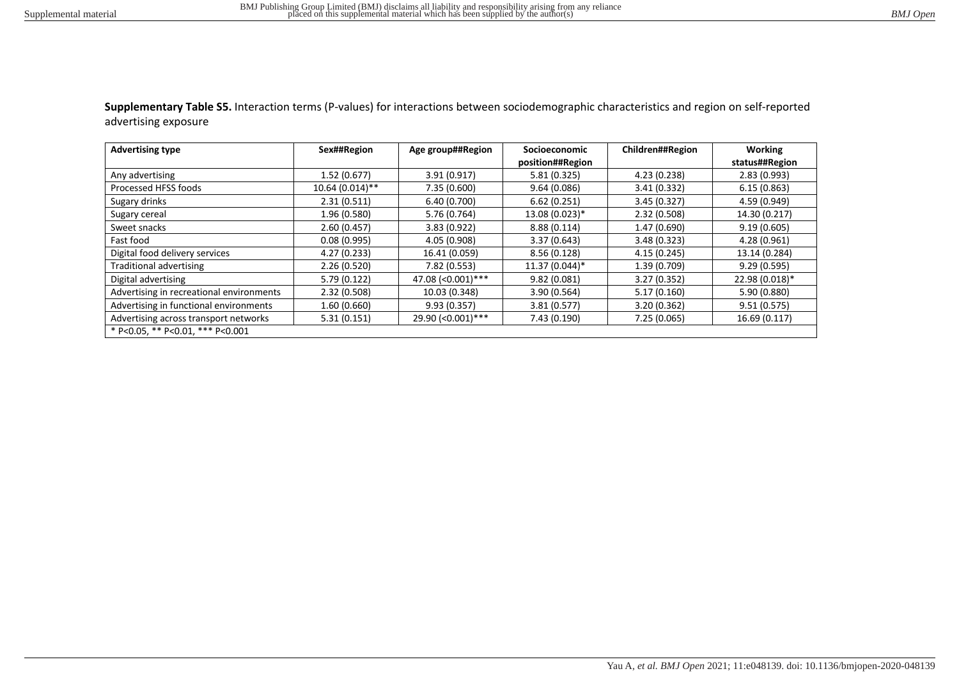**Supplementary Table S5.** Interaction terms (P-values) for interactions between sociodemographic characteristics and region on self-reported advertising exposure

| <b>Advertising type</b>                  | Sex##Region       | Age group##Region   | <b>Socioeconomic</b> | Children##Region | <b>Working</b> |
|------------------------------------------|-------------------|---------------------|----------------------|------------------|----------------|
|                                          |                   |                     | position##Region     |                  | status##Region |
| Any advertising                          | 1.52(0.677)       | 3.91(0.917)         | 5.81(0.325)          | 4.23 (0.238)     | 2.83(0.993)    |
| Processed HFSS foods                     | $10.64(0.014)$ ** | 7.35 (0.600)        | 9.64(0.086)          | 3.41(0.332)      | 6.15(0.863)    |
| Sugary drinks                            | 2.31(0.511)       | 6.40 (0.700)        | 6.62(0.251)          | 3.45(0.327)      | 4.59 (0.949)   |
| Sugary cereal                            | 1.96 (0.580)      | 5.76 (0.764)        | 13.08 (0.023)*       | 2.32 (0.508)     | 14.30 (0.217)  |
| Sweet snacks                             | 2.60(0.457)       | 3.83(0.922)         | 8.88(0.114)          | 1.47 (0.690)     | 9.19(0.605)    |
| Fast food                                | 0.08(0.995)       | 4.05 (0.908)        | 3.37(0.643)          | 3.48(0.323)      | 4.28 (0.961)   |
| Digital food delivery services           | 4.27 (0.233)      | 16.41 (0.059)       | 8.56(0.128)          | 4.15(0.245)      | 13.14 (0.284)  |
| Traditional advertising                  | 2.26(0.520)       | 7.82 (0.553)        | 11.37 (0.044)*       | 1.39 (0.709)     | 9.29(0.595)    |
| Digital advertising                      | 5.79 (0.122)      | 47.08 (< 0.001)***  | 9.82(0.081)          | 3.27(0.352)      | 22.98 (0.018)* |
| Advertising in recreational environments | 2.32(0.508)       | 10.03 (0.348)       | 3.90(0.564)          | 5.17(0.160)      | 5.90 (0.880)   |
| Advertising in functional environments   | 1.60 (0.660)      | 9.93(0.357)         | 3.81(0.577)          | 3.20(0.362)      | 9.51(0.575)    |
| Advertising across transport networks    | 5.31(0.151)       | 29.90 (< 0.001) *** | 7.43 (0.190)         | 7.25 (0.065)     | 16.69 (0.117)  |
| * P<0.05, ** P<0.01, *** P<0.001         |                   |                     |                      |                  |                |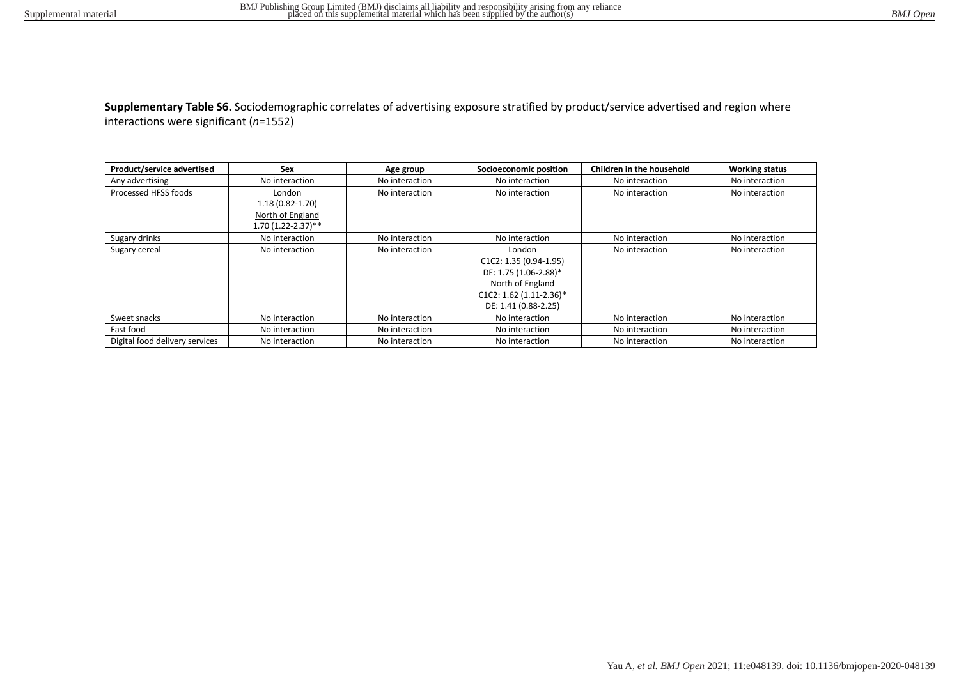**Supplementary Table S6.** Sociodemographic correlates of advertising exposure stratified by product/service advertised and region where interactions were significant (*n*=1552)

| Product/service advertised     | Sex                  | Age group      | Socioeconomic position   | Children in the household | <b>Working status</b> |
|--------------------------------|----------------------|----------------|--------------------------|---------------------------|-----------------------|
| Any advertising                | No interaction       | No interaction | No interaction           | No interaction            | No interaction        |
| Processed HFSS foods           | London               | No interaction | No interaction           | No interaction            | No interaction        |
|                                | $1.18(0.82 - 1.70)$  |                |                          |                           |                       |
|                                | North of England     |                |                          |                           |                       |
|                                | $1.70(1.22-2.37)$ ** |                |                          |                           |                       |
| Sugary drinks                  | No interaction       | No interaction | No interaction           | No interaction            | No interaction        |
| Sugary cereal                  | No interaction       | No interaction | London                   | No interaction            | No interaction        |
|                                |                      |                | $C1C2: 1.35 (0.94-1.95)$ |                           |                       |
|                                |                      |                | DE: 1.75 (1.06-2.88)*    |                           |                       |
|                                |                      |                | North of England         |                           |                       |
|                                |                      |                | C1C2: 1.62 (1.11-2.36)*  |                           |                       |
|                                |                      |                | DE: 1.41 (0.88-2.25)     |                           |                       |
| Sweet snacks                   | No interaction       | No interaction | No interaction           | No interaction            | No interaction        |
| Fast food                      | No interaction       | No interaction | No interaction           | No interaction            | No interaction        |
| Digital food delivery services | No interaction       | No interaction | No interaction           | No interaction            | No interaction        |